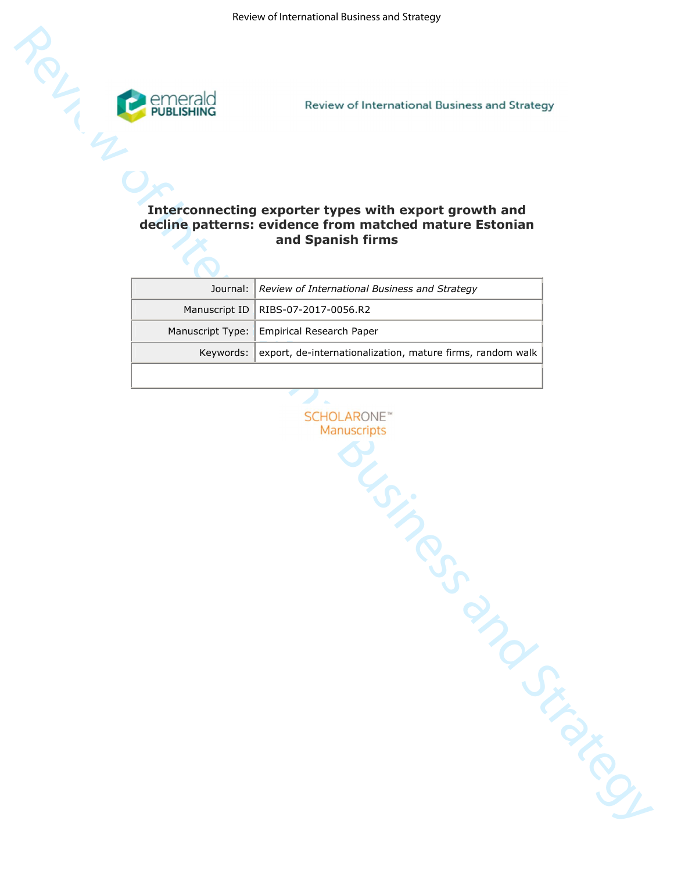

# **decline patterns: evidence from matched mature Estonian and Spanish firms**

|                  | Review of International Business and Strategy                                                                    |  |
|------------------|------------------------------------------------------------------------------------------------------------------|--|
|                  |                                                                                                                  |  |
|                  | Interconnecting exporter types with export growth and<br>decline patterns: evidence from matched mature Estonian |  |
|                  | and Spanish firms                                                                                                |  |
| Journal:         | Review of International Business and Strategy                                                                    |  |
| Manuscript ID    | RIBS-07-2017-0056.R2                                                                                             |  |
| Manuscript Type: | <b>Empirical Research Paper</b>                                                                                  |  |
| Keywords:        | export, de-internationalization, mature firms, random walk                                                       |  |
|                  |                                                                                                                  |  |
|                  | <b>SCHOLARONE</b> <sup>**</sup><br>Manuscripts<br>Concrete Criminal Concrete Criminal                            |  |
|                  |                                                                                                                  |  |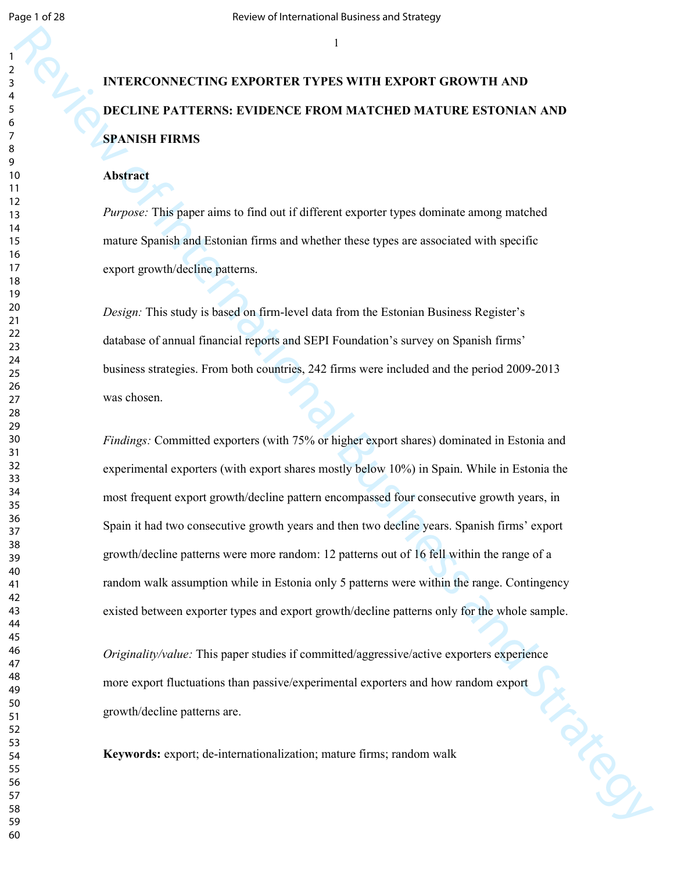# **INTERCONNECTING EXPORTER TYPES WITH EXPORT GROWTH AND DECLINE PATTERNS: EVIDENCE FROM MATCHED MATURE ESTONIAN AND SPANISH FIRMS**

# **Abstract**

*Purpose:* This paper aims to find out if different exporter types dominate among matched mature Spanish and Estonian firms and whether these types are associated with specific export growth/decline patterns.

*Design:* This study is based on firm-level data from the Estonian Business Register's database of annual financial reports and SEPI Foundation's survey on Spanish firms' business strategies. From both countries, 242 firms were included and the period 2009-2013 was chosen.

THERE ONNECTING EXPORTER TYPES WITH EXPORT GROWTH AND<br>
DETAIRE PATTERNS: EVIDENCE PROM MATCHED MATURE ESTONIAN AND<br>
SPANISH FRANSE PROM MATCHED MATURE ESTONIAN AND<br>
SPANISH FRANSE<br>
Abstrate<br>
A Morism<br>
Transmiths and Faund *Findings:* Committed exporters (with 75% or higher export shares) dominated in Estonia and experimental exporters (with export shares mostly below 10%) in Spain. While in Estonia the most frequent export growth/decline pattern encompassed four consecutive growth years, in Spain it had two consecutive growth years and then two decline years. Spanish firms' export growth/decline patterns were more random: 12 patterns out of 16 fell within the range of a random walk assumption while in Estonia only 5 patterns were within the range. Contingency existed between exporter types and export growth/decline patterns only for the whole sample.

*Originality/value:* This paper studies if committed/aggressive/active exporters experience more export fluctuations than passive/experimental exporters and how random export<br>growth/decline patterns are.<br>Keywords: export; de-internationalization; mature firms; random walk growth/decline patterns are.

**Keywords:** export; de-internationalization; mature firms; random walk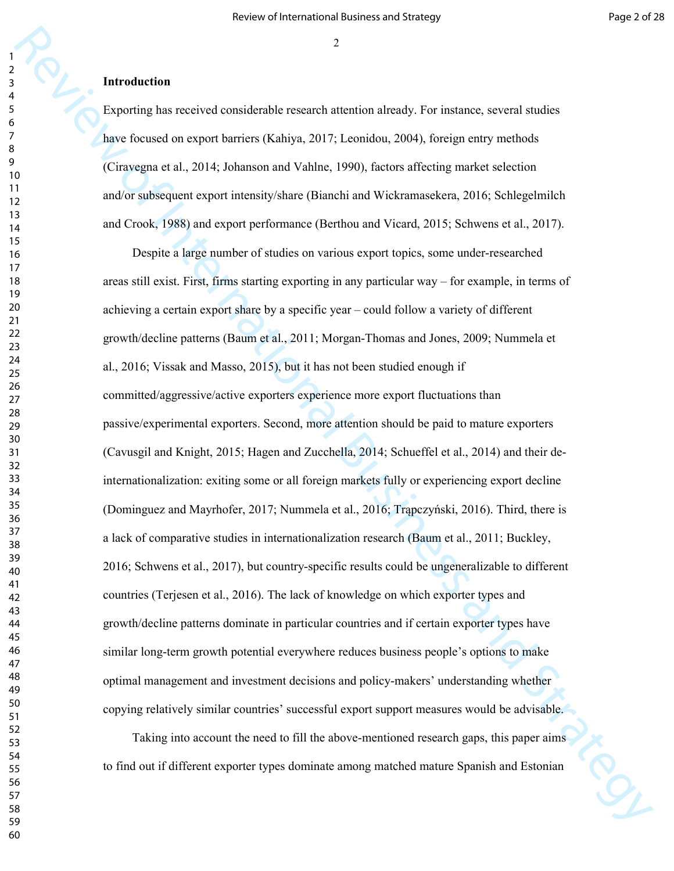## **Introduction**

Exporting has received considerable research attention already. For instance, several studies have focused on export barriers (Kahiya, 2017; Leonidou, 2004), foreign entry methods (Ciravegna et al., 2014; Johanson and Vahlne, 1990), factors affecting market selection and/or subsequent export intensity/share (Bianchi and Wickramasekera, 2016; Schlegelmilch and Crook, 1988) and export performance (Berthou and Vicard, 2015; Schwens et al., 2017).

2<br> **Extremal vectors**<br> **Extremal vectors**<br> **Extremal vectors**<br> **Extremal vectors**<br> **Extremal vectors**<br> **Extremal vectors**<br> **Extremal vectors**<br> **Extremal vectors**<br> **Extremal vectors**<br> **Extremal vectors**<br> **Extremal vectors** Despite a large number of studies on various export topics, some under-researched areas still exist. First, firms starting exporting in any particular way – for example, in terms of achieving a certain export share by a specific year – could follow a variety of different growth/decline patterns (Baum et al., 2011; Morgan-Thomas and Jones, 2009; Nummela et al., 2016; Vissak and Masso, 2015), but it has not been studied enough if committed/aggressive/active exporters experience more export fluctuations than passive/experimental exporters. Second, more attention should be paid to mature exporters (Cavusgil and Knight, 2015; Hagen and Zucchella, 2014; Schueffel et al., 2014) and their deinternationalization: exiting some or all foreign markets fully or experiencing export decline (Dominguez and Mayrhofer, 2017; Nummela et al., 2016; Trąpczyński, 2016). Third, there is a lack of comparative studies in internationalization research (Baum et al., 2011; Buckley, 2016; Schwens et al., 2017), but country-specific results could be ungeneralizable to different countries (Terjesen et al., 2016). The lack of knowledge on which exporter types and growth/decline patterns dominate in particular countries and if certain exporter types have similar long-term growth potential everywhere reduces business people's options to make optimal management and investment decisions and policy-makers' understanding whether copying relatively similar countries' successful export support measures would be advisable.

Taking into account the need to fill the above-mentioned research gaps, this paper aims to find out if different exporter types dominate among matched mature Spanish and Estonian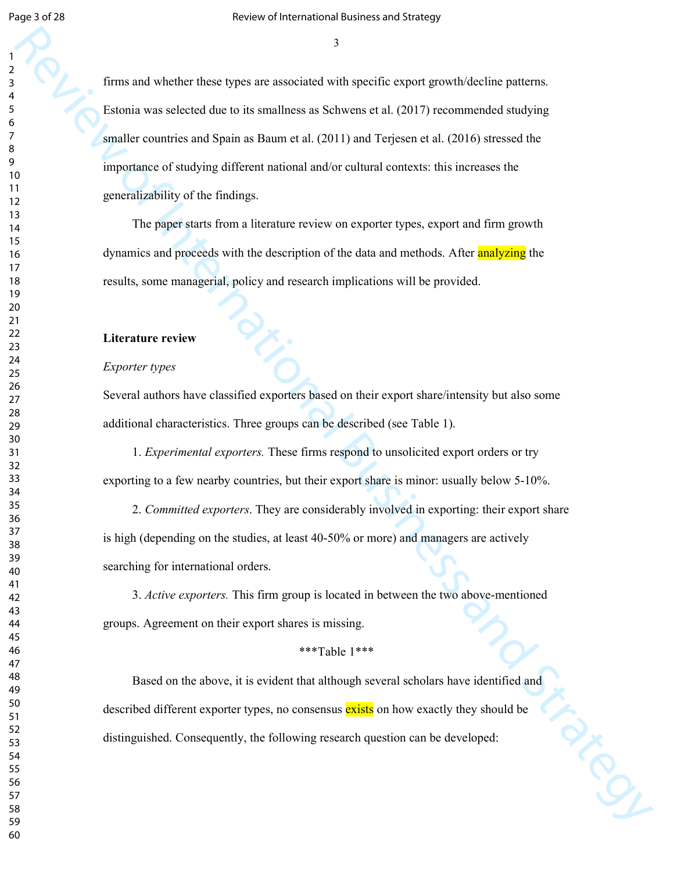Example the shocker three is the rest of the state of the state of the state of the state of the state of the state of the state of the state of the state of the state of the state of the state of the state of the state o firms and whether these types are associated with specific export growth/decline patterns. Estonia was selected due to its smallness as Schwens et al. (2017) recommended studying smaller countries and Spain as Baum et al. (2011) and Terjesen et al. (2016) stressed the importance of studying different national and/or cultural contexts: this increases the generalizability of the findings.

The paper starts from a literature review on exporter types, export and firm growth dynamics and proceeds with the description of the data and methods. After analyzing the results, some managerial, policy and research implications will be provided.

### **Literature review**

#### *Exporter types*

Several authors have classified exporters based on their export share/intensity but also some additional characteristics. Three groups can be described (see Table 1).

1. *Experimental exporters.* These firms respond to unsolicited export orders or try exporting to a few nearby countries, but their export share is minor: usually below 5-10%.

2. *Committed exporters*. They are considerably involved in exporting: their export share is high (depending on the studies, at least 40-50% or more) and managers are actively searching for international orders.

3. *Active exporters.* This firm group is located in between the two above-mentioned groups. Agreement on their export shares is missing.

# \*\*\*Table 1\*\*\*

Based on the above, it is evident that although several scholars have identified and described different exporter types, no consensus exists on how exactly they should be distinguished. Consequently, the following research question can be developed: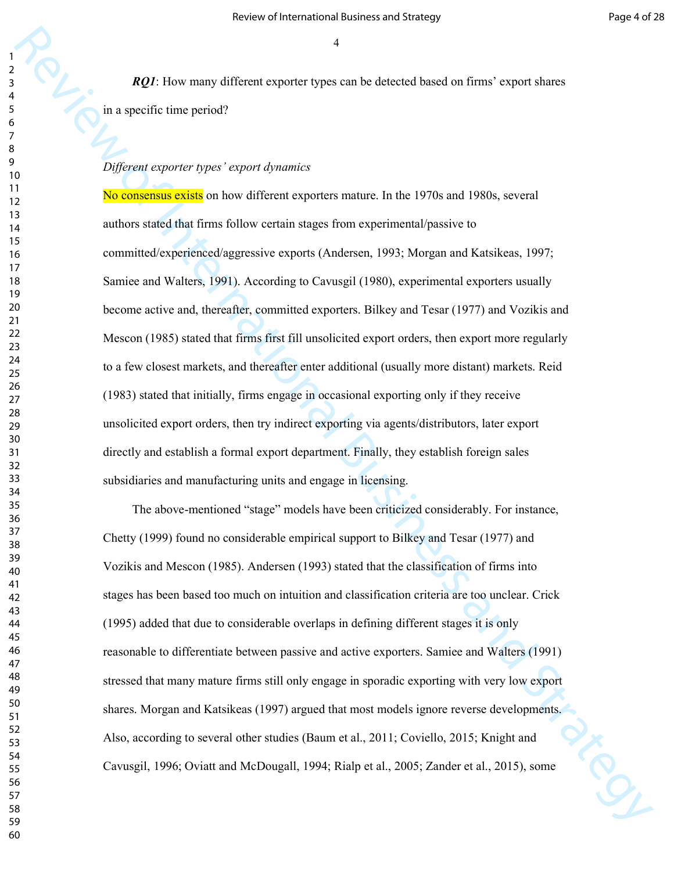*RQ1*: How many different exporter types can be detected based on firms' export shares in a specific time period?

## *Different exporter types' export dynamics*

RQ2. Here many difficient expendent by the since the defected funed of times' expect shares<br>
In a specific time period?<br>
We convert types' exposed of members<br>
No converte types' exposed of members<br>
No converte types' expo No consensus exists on how different exporters mature. In the 1970s and 1980s, several authors stated that firms follow certain stages from experimental/passive to committed/experienced/aggressive exports (Andersen, 1993; Morgan and Katsikeas, 1997; Samiee and Walters, 1991). According to Cavusgil (1980), experimental exporters usually become active and, thereafter, committed exporters. Bilkey and Tesar (1977) and Vozikis and Mescon (1985) stated that firms first fill unsolicited export orders, then export more regularly to a few closest markets, and thereafter enter additional (usually more distant) markets. Reid (1983) stated that initially, firms engage in occasional exporting only if they receive unsolicited export orders, then try indirect exporting via agents/distributors, later export directly and establish a formal export department. Finally, they establish foreign sales subsidiaries and manufacturing units and engage in licensing.

The above-mentioned "stage" models have been criticized considerably. For instance, Chetty (1999) found no considerable empirical support to Bilkey and Tesar (1977) and Vozikis and Mescon (1985). Andersen (1993) stated that the classification of firms into stages has been based too much on intuition and classification criteria are too unclear. Crick (1995) added that due to considerable overlaps in defining different stages it is only reasonable to differentiate between passive and active exporters. Samiee and Walters (1991) stressed that many mature firms still only engage in sporadic exporting with very low export shares. Morgan and Katsikeas (1997) argued that most models ignore reverse developments. Also, according to several other studies (Baum et al., 2011; Coviello, 2015; Knight and Also, according to several other studies (Baum et al., 2011; Coviello, 2013, Amgin and<br>Cavusgil, 1996; Oviatt and McDougall, 1994; Rialp et al., 2005; Zander et al., 2015), some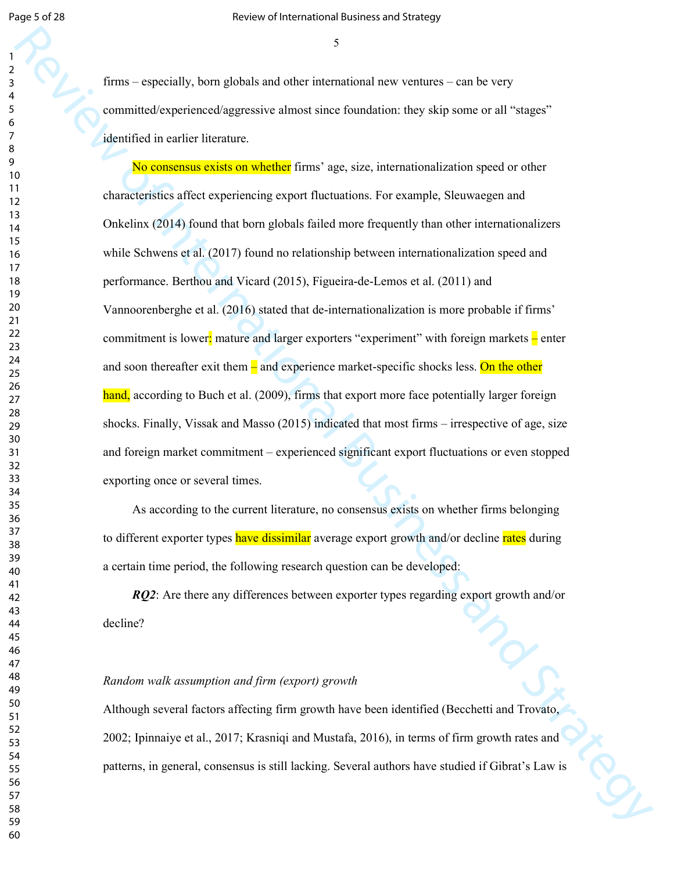Page 5 of 28 Review of International Business and Strategy

firms – especially, born globals and other international new ventures – can be very committed/experienced/aggressive almost since foundation: they skip some or all "stages" identified in earlier literature.

From expectantly, boun globals and other international now ventures - can be very<br>normalized to provide a strategy<br>review of International Business and the strategy of the main of the Strategy<br>distribution of Hermannic ex No consensus exists on whether firms' age, size, internationalization speed or other characteristics affect experiencing export fluctuations. For example, Sleuwaegen and Onkelinx (2014) found that born globals failed more frequently than other internationalizers while Schwens et al. (2017) found no relationship between internationalization speed and performance. Berthou and Vicard (2015), Figueira-de-Lemos et al. (2011) and Vannoorenberghe et al. (2016) stated that de-internationalization is more probable if firms' commitment is lower: mature and larger exporters "experiment" with foreign markets  $\frac{1}{x}$  enter and soon thereafter exit them  $\frac{1}{2}$  and experience market-specific shocks less. On the other hand, according to Buch et al. (2009), firms that export more face potentially larger foreign shocks. Finally, Vissak and Masso (2015) indicated that most firms – irrespective of age, size and foreign market commitment – experienced significant export fluctuations or even stopped exporting once or several times.

As according to the current literature, no consensus exists on whether firms belonging to different exporter types have dissimilar average export growth and/or decline rates during a certain time period, the following research question can be developed:

*RQ2*: Are there any differences between exporter types regarding export growth and/or decline?

# *Random walk assumption and firm (export) growth*

Although several factors affecting firm growth have been identified (Becchetti and Trovato, 2002; Ipinnaiye et al., 2017; Krasniqi and Mustafa, 2016), in terms of firm growth rates and patterns, in general, consensus is still lacking. Several authors have studied if Gibrat's Law is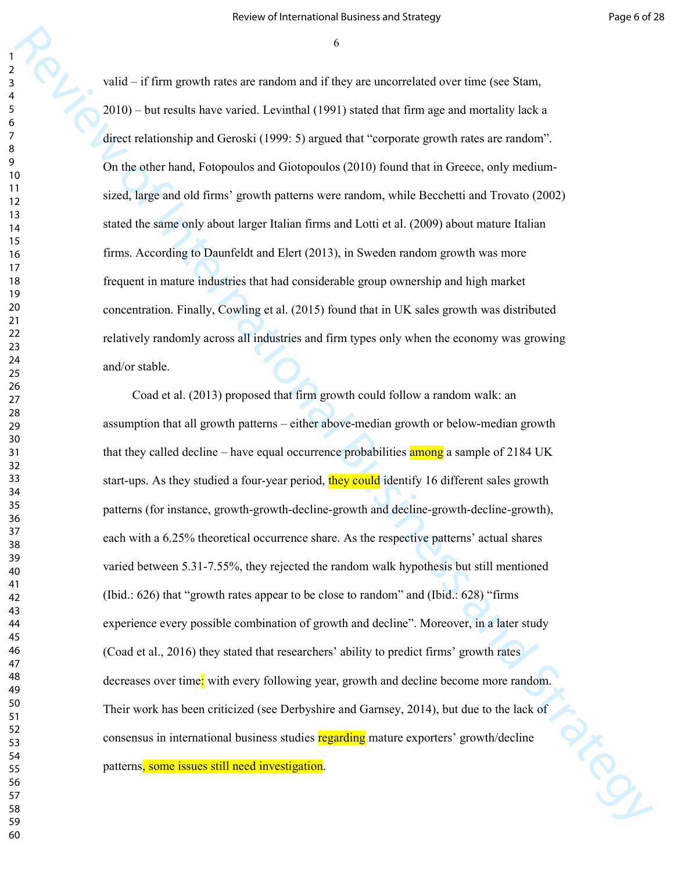valid – if firm growth rates are random and if they are uncorrelated over time (see Stam, 2010) – but results have varied. Levinthal (1991) stated that firm age and mortality lack a direct relationship and Geroski (1999: 5) argued that "corporate growth rates are random". On the other hand, Fotopoulos and Giotopoulos (2010) found that in Greece, only mediumsized, large and old firms' growth patterns were random, while Becchetti and Trovato (2002) stated the same only about larger Italian firms and Lotti et al. (2009) about mature Italian firms. According to Daunfeldt and Elert (2013), in Sweden random growth was more frequent in mature industries that had considerable group ownership and high market concentration. Finally, Cowling et al. (2015) found that in UK sales growth was distributed relatively randomly across all industries and firm types only when the economy was growing and/or stable.

whist – if inter generals raise are consistent if if they are unconvoluted to era time general methods and the strategy and methods in the sign of methods in the sign of the sign of the sign of the sign of the sign of th Coad et al. (2013) proposed that firm growth could follow a random walk: an assumption that all growth patterns – either above-median growth or below-median growth that they called decline – have equal occurrence probabilities **among** a sample of 2184 UK start-ups. As they studied a four-year period, they could identify 16 different sales growth patterns (for instance, growth-growth-decline-growth and decline-growth-decline-growth), each with a 6.25% theoretical occurrence share. As the respective patterns' actual shares varied between 5.31-7.55%, they rejected the random walk hypothesis but still mentioned (Ibid.: 626) that "growth rates appear to be close to random" and (Ibid.: 628) "firms experience every possible combination of growth and decline". Moreover, in a later study (Coad et al., 2016) they stated that researchers' ability to predict firms' growth rates decreases over time: with every following year, growth and decline become more random. Their work has been criticized (see Derbyshire and Garnsey, 2014), but due to the lack of<br>consensus in international business studies regarding mature exporters' growth/decline<br>patterns, some issues still need investigatio consensus in international business studies regarding mature exporters' growth/decline patterns, some issues still need investigation.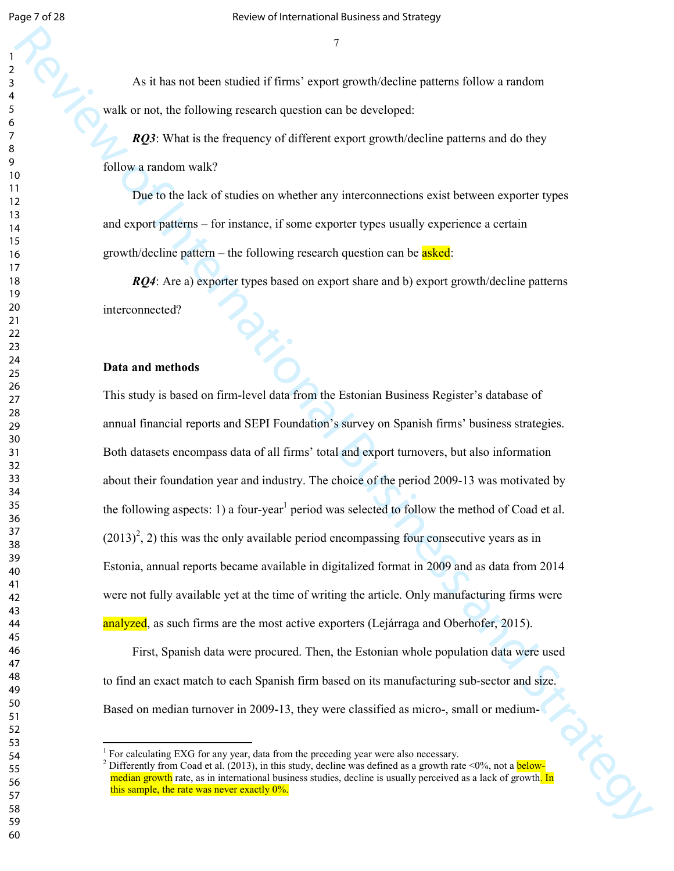As it has not been studied if firms' export growth/decline patterns follow a random walk or not, the following research question can be developed:

*RQ3*: What is the frequency of different export growth/decline patterns and do they follow a random walk?

Due to the lack of studies on whether any interconnections exist between exporter types and export patterns – for instance, if some exporter types usually experience a certain growth/decline pattern – the following research question can be asked:

*RQ4*: Are a) exporter types based on export share and b) export growth/decline patterns interconnected?

#### **Data and methods**

 $\overline{a}$ 

As a has not been shaded if firms' expect goes give this deviation radius a cardion<br>with or not, the following research question can be developed.<br>
Review of Internation with  $\theta$  is the following columns of different cap This study is based on firm-level data from the Estonian Business Register's database of annual financial reports and SEPI Foundation's survey on Spanish firms' business strategies. Both datasets encompass data of all firms' total and export turnovers, but also information about their foundation year and industry. The choice of the period 2009-13 was motivated by the following aspects: 1) a four-year<sup>1</sup> period was selected to follow the method of Coad et al.  $(2013)^2$ , 2) this was the only available period encompassing four consecutive years as in Estonia, annual reports became available in digitalized format in 2009 and as data from 2014 were not fully available yet at the time of writing the article. Only manufacturing firms were analyzed, as such firms are the most active exporters (Lejárraga and Oberhofer, 2015).

First, Spanish data were procured. Then, the Estonian whole population data were used to find an exact match to each Spanish firm based on its manufacturing sub-sector and size.

 For calculating EXG for any year, data from the preceding year were also necessary.

Based on median turnover in 2009-13, they were classified as micro-, small or medium-<br>
<sup>1</sup>For calculating EXG for any year, data from the preceding year were also necessary.<br>
<sup>2</sup>Differently from Coad et al. (2013), in thi <sup>2</sup> Differently from Coad et al. (2013), in this study, decline was defined as a growth rate <0%, not a **below**median growth rate, as in international business studies, decline is usually perceived as a lack of growth. In this sample, the rate was never exactly 0%.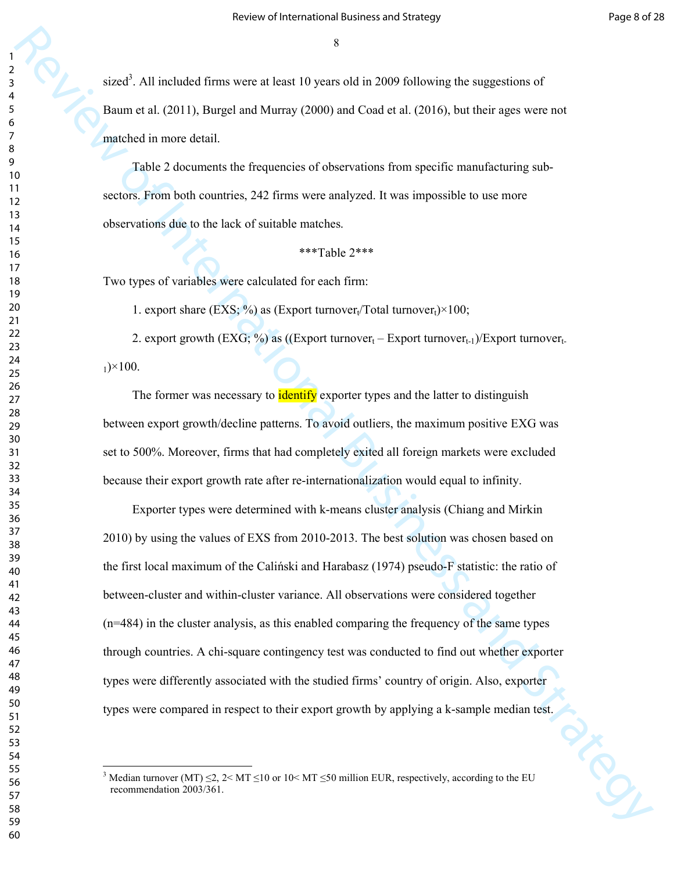sized<sup>3</sup>. All included firms were at least 10 years old in 2009 following the suggestions of Baum et al. (2011), Burgel and Murray (2000) and Coad et al. (2016), but their ages were not matched in more detail.

Table 2 documents the frequencies of observations from specific manufacturing subsectors. From both countries, 242 firms were analyzed. It was impossible to use more observations due to the lack of suitable matches.

\*\*\*Table 2\*\*\*

Two types of variables were calculated for each firm:

1. export share (EXS;  $\frac{\%}{\%}$ ) as (Export turnover<sub>t</sub>/Total turnover<sub>t</sub>)×100;

2. export growth  $(EXG; % )$  as  $((Export turnover<sub>t</sub> - Export turnover<sub>t-1</sub>)/Export turnover<sub>t</sub>$  $_1$ )×100.

The former was necessary to **identify** exporter types and the latter to distinguish between export growth/decline patterns. To avoid outliers, the maximum positive EXG was set to 500%. Moreover, firms that had completely exited all foreign markets were excluded because their export growth rate after re-internationalization would equal to infinity.

steed". All methods finance were at least 10 years of the 2009 informing the singercises of Theorem et al. (2011), Turnpos and Continent Continent Continent Continent Continent Continent Continent Continent Continent Cont Exporter types were determined with k-means cluster analysis (Chiang and Mirkin 2010) by using the values of EXS from 2010-2013. The best solution was chosen based on the first local maximum of the Caliński and Harabasz (1974) pseudo-F statistic: the ratio of between-cluster and within-cluster variance. All observations were considered together (n=484) in the cluster analysis, as this enabled comparing the frequency of the same types through countries. A chi-square contingency test was conducted to find out whether exporter types were differently associated with the studied firms' country of origin. Also, exporter

 $\overline{a}$ 

types were compared in respect to their export growth by applying a k-sample median test.<br>
The compared in respect to their export growth by applying a k-sample median test. <sup>3</sup> Median turnover (MT)  $\leq$  2, 2 \times MT  $\leq$  10 \cdot MT  $\leq$  50 million EUR, respectively, according to the EU recommendation 2003/361.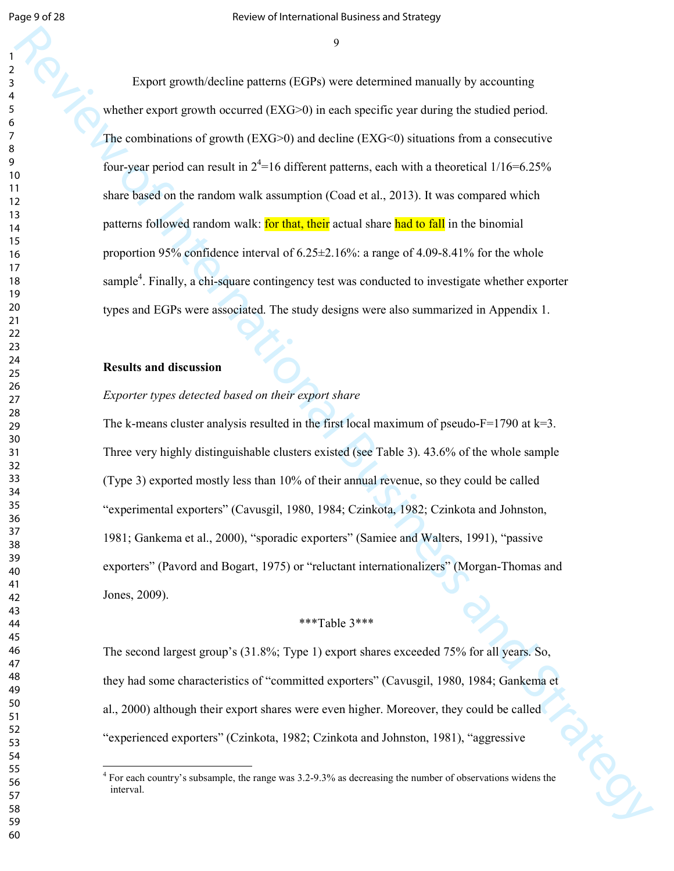Lingtont generation pathers (1873) or ved determined meaningly by assumining<br>where everyon generation dependent (2CAC) on each operation generation galacean simulation of the particular pathers are considered by the consi Export growth/decline patterns (EGPs) were determined manually by accounting whether export growth occurred  $(EXG>0)$  in each specific year during the studied period. The combinations of growth  $(EXG>0)$  and decline  $(EXG<0)$  situations from a consecutive four-year period can result in  $2^4$ =16 different patterns, each with a theoretical 1/16=6.25% share based on the random walk assumption (Coad et al., 2013). It was compared which patterns followed random walk: **for that, their** actual share had to fall in the binomial proportion 95% confidence interval of  $6.25 \pm 2.16$ %: a range of 4.09-8.41% for the whole sample<sup>4</sup>. Finally, a chi-square contingency test was conducted to investigate whether exporter types and EGPs were associated. The study designs were also summarized in Appendix 1.

## **Results and discussion**

 $\overline{a}$ 

## *Exporter types detected based on their export share*

The k-means cluster analysis resulted in the first local maximum of pseudo- $F=1790$  at  $k=3$ . Three very highly distinguishable clusters existed (see Table 3). 43.6% of the whole sample (Type 3) exported mostly less than 10% of their annual revenue, so they could be called "experimental exporters" (Cavusgil, 1980, 1984; Czinkota, 1982; Czinkota and Johnston, 1981; Gankema et al., 2000), "sporadic exporters" (Samiee and Walters, 1991), "passive exporters" (Pavord and Bogart, 1975) or "reluctant internationalizers" (Morgan-Thomas and Jones, 2009).

## \*\*\*Table 3\*\*\*

The second largest group's (31.8%; Type 1) export shares exceeded 75% for all years. So, they had some characteristics of "committed exporters" (Cavusgil, 1980, 1984; Gankema et al., 2000) although their export shares were even higher. Moreover, they could be called "experienced exporters" (Czinkota, 1982; Czinkota and Johnston, 1981), "aggressive

<sup>&</sup>lt;sup>4</sup> For each country's subsample, the range was 3.2-9.3% as decreasing the number of observations widens the interval.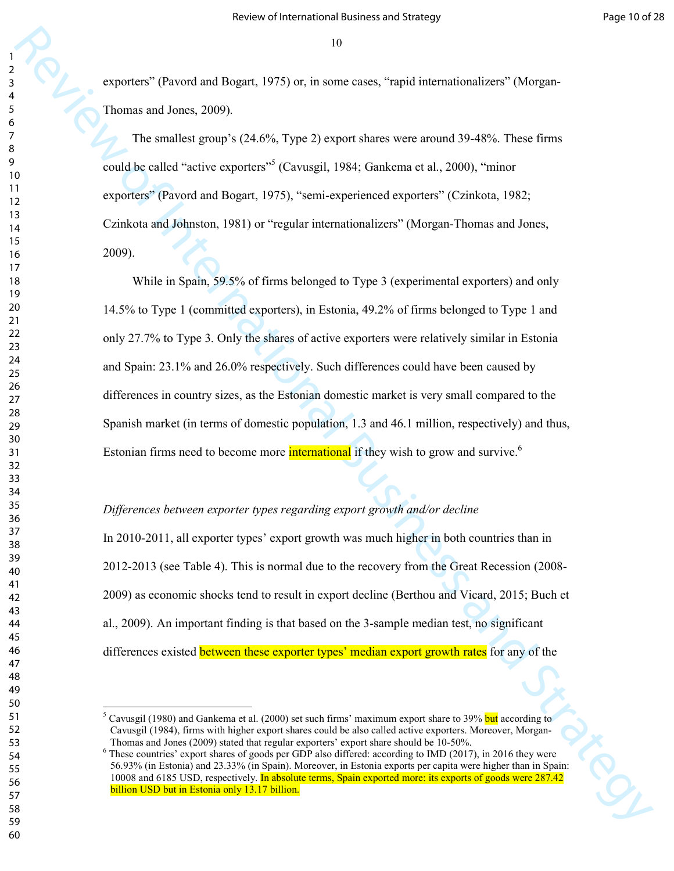exporters" (Pavord and Bogart, 1975) or, in some cases, "rapid internationalizers" (Morgan-Thomas and Jones, 2009).

The smallest group's (24.6%, Type 2) export shares were around 39-48%. These firms could be called "active exporters"<sup>5</sup> (Cavusgil, 1984; Gankema et al., 2000), "minor exporters" (Pavord and Bogart, 1975), "semi-experienced exporters" (Czinkota, 1982; Czinkota and Johnston, 1981) or "regular internationalizers" (Morgan-Thomas and Jones, 2009).

23<br>
Review of Christian and Dispart, 1975) vs. at some cases, "nepth internationalizers" (Morgan-<br>
Thermatical International Business and Strategy and Strategy and Strategy and Strategy and Strategy and Business and Busin While in Spain, 59.5% of firms belonged to Type 3 (experimental exporters) and only 14.5% to Type 1 (committed exporters), in Estonia, 49.2% of firms belonged to Type 1 and only 27.7% to Type 3. Only the shares of active exporters were relatively similar in Estonia and Spain: 23.1% and 26.0% respectively. Such differences could have been caused by differences in country sizes, as the Estonian domestic market is very small compared to the Spanish market (in terms of domestic population, 1.3 and 46.1 million, respectively) and thus, Estonian firms need to become more **international** if they wish to grow and survive.<sup>6</sup>

## *Differences between exporter types regarding export growth and/or decline*

In 2010-2011, all exporter types' export growth was much higher in both countries than in 2012-2013 (see Table 4). This is normal due to the recovery from the Great Recession (2008- 2009) as economic shocks tend to result in export decline (Berthou and Vicard, 2015; Buch et al., 2009). An important finding is that based on the 3-sample median test, no significant differences existed between these exporter types' median export growth rates for any of the

 $\overline{a}$ 

<sup>&</sup>lt;sup>5</sup> Cavusgil (1980) and Gankema et al. (2000) set such firms' maximum export share to 39% but according to Cavusgil (1984), firms with higher export shares could be also called active exporters. Moreover, Morgan-Thomas and Jones (2009) stated that regular exporters' export share should be 10-50%.

<sup>&</sup>lt;sup>6</sup> These countries' export shares of goods per GDP also differed: according to IMD (2017), in 2016 they were 56.93% (in Estonia) and 23.33% (in Spain). Moreover, in Estonia exports per capita were higher than in Spain: 10008 and 6185 USD, respectively. In absolute terms, Spain exported more: its exports of goods were 287.42 billion USD but in Estonia only 13.17 billion.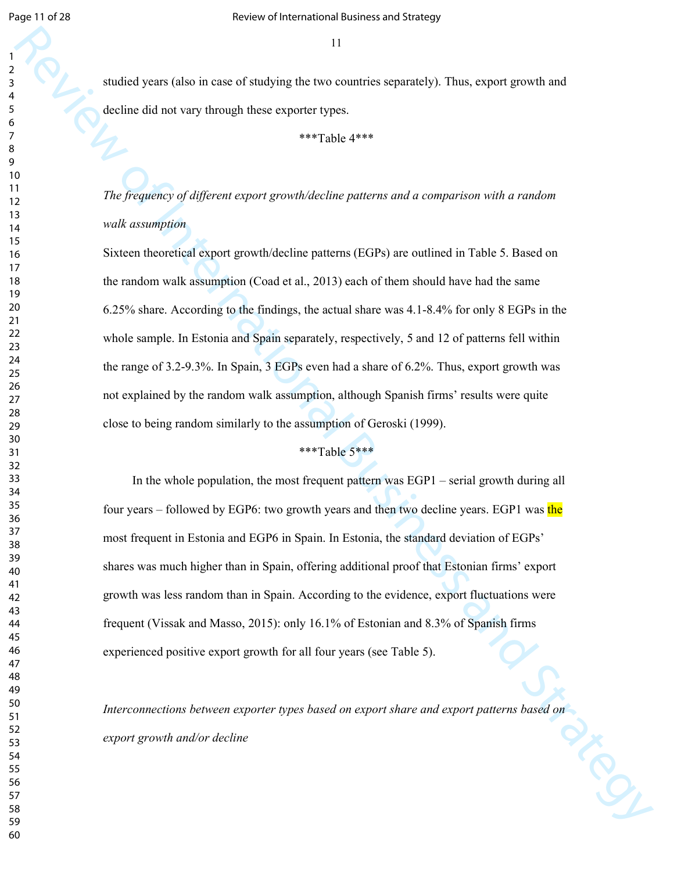studied years (also in case of studying the two countries separately). Thus, export growth and decline did not vary through these exporter types.

\*\*\*Table 4\*\*\*

*The frequency of different export growth/decline patterns and a comparison with a random walk assumption* 

33<br>
Studied years (given in case of simplying the two extentions separately). Thus, expeditigented and<br>
decline the leat only through three experimelytics:<br>  $\frac{1}{2}$ <br>
The *Frequency of Afglice of Leasing Strategy and Str* Sixteen theoretical export growth/decline patterns (EGPs) are outlined in Table 5. Based on the random walk assumption (Coad et al., 2013) each of them should have had the same 6.25% share. According to the findings, the actual share was 4.1-8.4% for only 8 EGPs in the whole sample. In Estonia and Spain separately, respectively, 5 and 12 of patterns fell within the range of 3.2-9.3%. In Spain, 3 EGPs even had a share of 6.2%. Thus, export growth was not explained by the random walk assumption, although Spanish firms' results were quite close to being random similarly to the assumption of Geroski (1999).

# \*\*\*Table 5\*\*\*

In the whole population, the most frequent pattern was EGP1 – serial growth during all four years – followed by EGP6: two growth years and then two decline years. EGP1 was the most frequent in Estonia and EGP6 in Spain. In Estonia, the standard deviation of EGPs' shares was much higher than in Spain, offering additional proof that Estonian firms' export growth was less random than in Spain. According to the evidence, export fluctuations were frequent (Vissak and Masso, 2015): only 16.1% of Estonian and 8.3% of Spanish firms experienced positive export growth for all four years (see Table 5).

*Interconnections between exporter types based on export share and export patterns based on export growth and/or decline*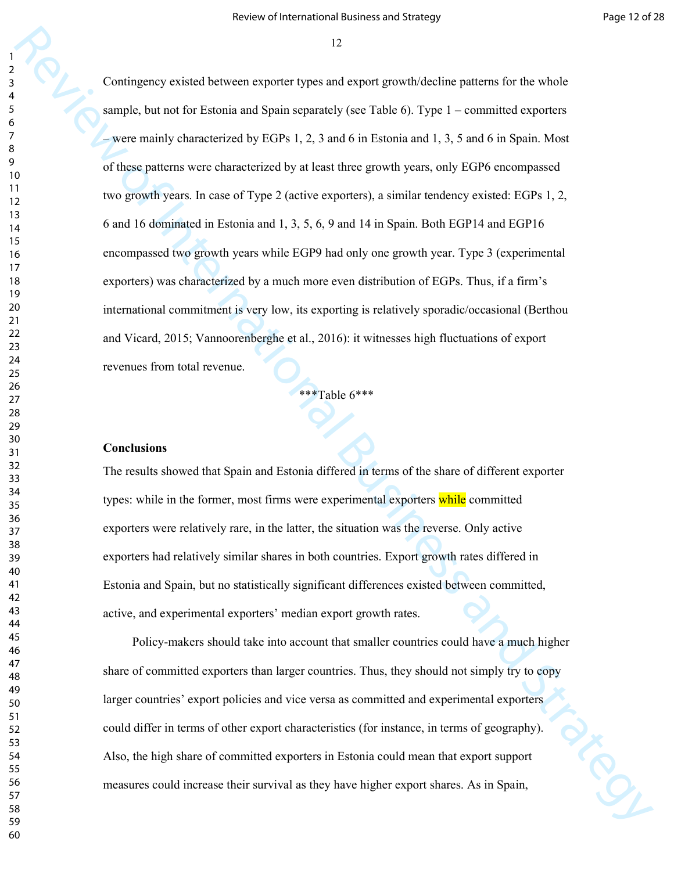22<br>
Continguous exacts between steps to the system and sequent policine policine for the whole<br>
survey be more for Tariwin and Strategy (see Tariko 6). Type 1 - commutine beyonds<br>
we are saidly shown between the system of Contingency existed between exporter types and export growth/decline patterns for the whole sample, but not for Estonia and Spain separately (see Table 6). Type 1 – committed exporters – were mainly characterized by EGPs 1, 2, 3 and 6 in Estonia and 1, 3, 5 and 6 in Spain. Most of these patterns were characterized by at least three growth years, only EGP6 encompassed two growth years. In case of Type 2 (active exporters), a similar tendency existed: EGPs 1, 2, 6 and 16 dominated in Estonia and 1, 3, 5, 6, 9 and 14 in Spain. Both EGP14 and EGP16 encompassed two growth years while EGP9 had only one growth year. Type 3 (experimental exporters) was characterized by a much more even distribution of EGPs. Thus, if a firm's international commitment is very low, its exporting is relatively sporadic/occasional (Berthou and Vicard, 2015; Vannoorenberghe et al., 2016): it witnesses high fluctuations of export revenues from total revenue.

\*\*\*Table 6\*\*\*

# **Conclusions**

The results showed that Spain and Estonia differed in terms of the share of different exporter types: while in the former, most firms were experimental exporters while committed exporters were relatively rare, in the latter, the situation was the reverse. Only active exporters had relatively similar shares in both countries. Export growth rates differed in Estonia and Spain, but no statistically significant differences existed between committed, active, and experimental exporters' median export growth rates.

Policy-makers should take into account that smaller countries could have a much higher share of committed exporters than larger countries. Thus, they should not simply try to copy larger countries' export policies and vice versa as committed and experimental exporters could differ in terms of other export characteristics (for instance, in terms of geography).<br>Also, the high share of committed exporters in Estonia could mean that export support<br>14 increase their survival as they have hig Also, the high share of committed exporters in Estonia could mean that export support measures could increase their survival as they have higher export shares. As in Spain,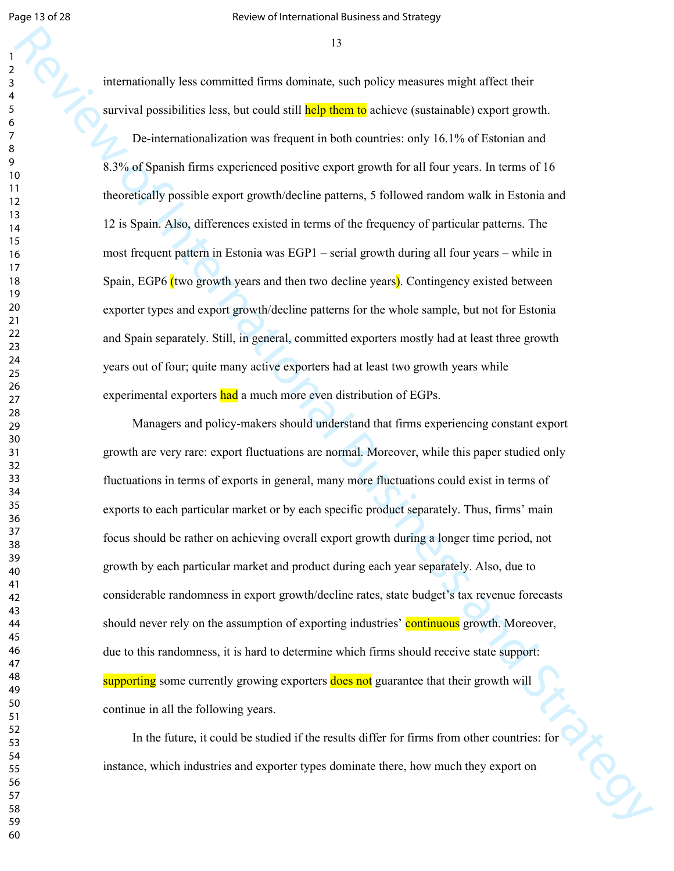internationally less committed firms dominate, such policy measures might affect their survival possibilities less, but could still **help them to** achieve (sustainable) export growth.

De-internationalization was frequent in both countries: only 16.1% of Estonian and 8.3% of Spanish firms experienced positive export growth for all four years. In terms of 16 theoretically possible export growth/decline patterns, 5 followed random walk in Estonia and 12 is Spain. Also, differences existed in terms of the frequency of particular patterns. The most frequent pattern in Estonia was EGP1 – serial growth during all four years – while in Spain, EGP6 (two growth years and then two decline years). Contingency existed between exporter types and export growth/decline patterns for the whole sample, but not for Estonia and Spain separately. Still, in general, committed exporters mostly had at least three growth years out of four; quite many active exporters had at least two growth years while experimental exporters had a much more even distribution of EGPs.

13<br>
Substitutionally ben communical situation distinguished projects and project in the symptom of the symptom of the International Strategy method of the Strategy method of International Strategy method of International Managers and policy-makers should understand that firms experiencing constant export growth are very rare: export fluctuations are normal. Moreover, while this paper studied only fluctuations in terms of exports in general, many more fluctuations could exist in terms of exports to each particular market or by each specific product separately. Thus, firms' main focus should be rather on achieving overall export growth during a longer time period, not growth by each particular market and product during each year separately. Also, due to considerable randomness in export growth/decline rates, state budget's tax revenue forecasts should never rely on the assumption of exporting industries' continuous growth. Moreover, due to this randomness, it is hard to determine which firms should receive state support: supporting some currently growing exporters does not guarantee that their growth will continue in all the following years.

In the future, it could be studied if the results differ for firms from other countries: for instance, which industries and exporter types dominate there, how much they export on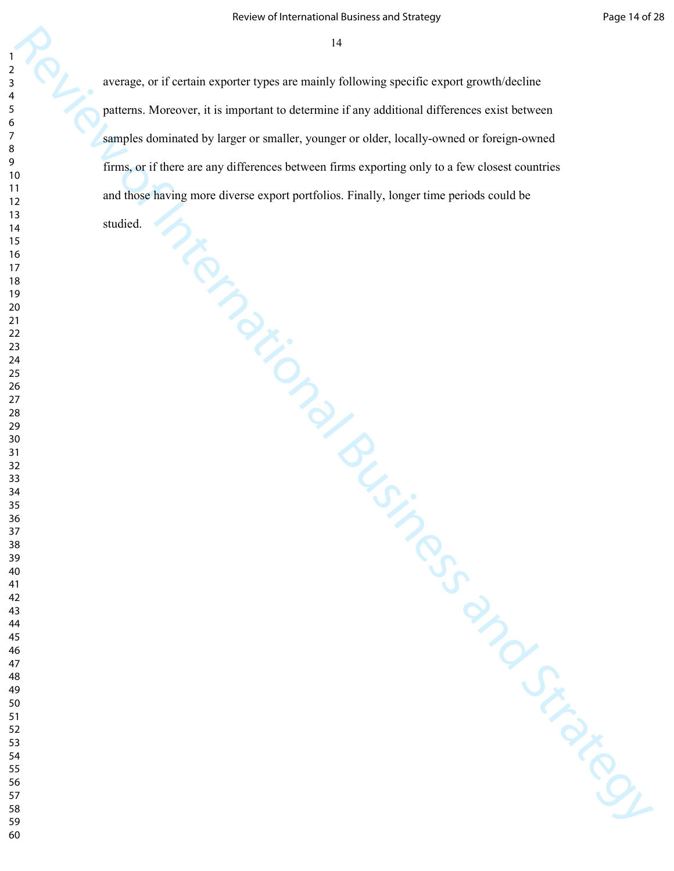Review of International Business and International Business and Distributional Business and Distributional Business and Distributional Business and Distributional Business and Business and Distributional Business and Busin average, or if certain exporter types are mainly following specific export growth/decline patterns. Moreover, it is important to determine if any additional differences exist between samples dominated by larger or smaller, younger or older, locally-owned or foreign-owned firms, or if there are any differences between firms exporting only to a few closest countries and those having more diverse export portfolios. Finally, longer time periods could be

studied.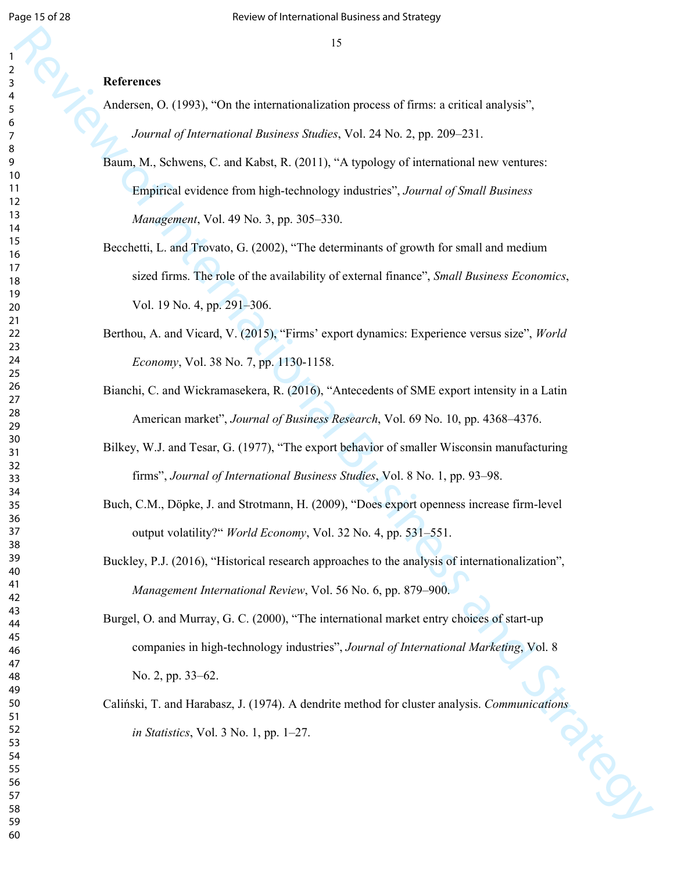### **References**

- Andersen, O. (1993), "On the internationalization process of firms: a critical analysis", *Journal of International Business Studies*, Vol. 24 No. 2, pp. 209–231.
- Baum, M., Schwens, C. and Kabst, R. (2011), "A typology of international new ventures: Empirical evidence from high-technology industries", *Journal of Small Business Management*, Vol. 49 No. 3, pp. 305–330.
- 15<br>
References<br>
Analogo, O. (1993), "On the international international process of firms, a critical analysis",<br>
Analogo, M. Schwein, C. and Kabat, R. (2011), "A hypologo of international wave ventures:<br>
Engines and Strat Becchetti, L. and Trovato, G. (2002), "The determinants of growth for small and medium sized firms. The role of the availability of external finance", *Small Business Economics*, Vol. 19 No. 4, pp. 291–306.
	- Berthou, A. and Vicard, V. (2015), "Firms' export dynamics: Experience versus size", *World Economy*, Vol. 38 No. 7, pp. 1130-1158.
	- Bianchi, C. and Wickramasekera, R. (2016), "Antecedents of SME export intensity in a Latin American market", *Journal of Business Research*, Vol. 69 No. 10, pp. 4368–4376.
	- Bilkey, W.J. and Tesar, G. (1977), "The export behavior of smaller Wisconsin manufacturing firms", *Journal of International Business Studies*, Vol. 8 No. 1, pp. 93–98.
	- Buch, C.M., Döpke, J. and Strotmann, H. (2009), "Does export openness increase firm-level output volatility?" *World Economy*, Vol. 32 No. 4, pp. 531–551.
	- Buckley, P.J. (2016), "Historical research approaches to the analysis of internationalization", *Management International Review*, Vol. 56 No. 6, pp. 879–900.
	- Burgel, O. and Murray, G. C. (2000), "The international market entry choices of start-up companies in high-technology industries", *Journal of International Marketing*, Vol. 8 No. 2, pp. 33–62.
	- Caliński, T. and Harabasz, J. (1974). A dendrite method for cluster analysis. *Communications in Statistics*, Vol. 3 No. 1, pp. 1–27.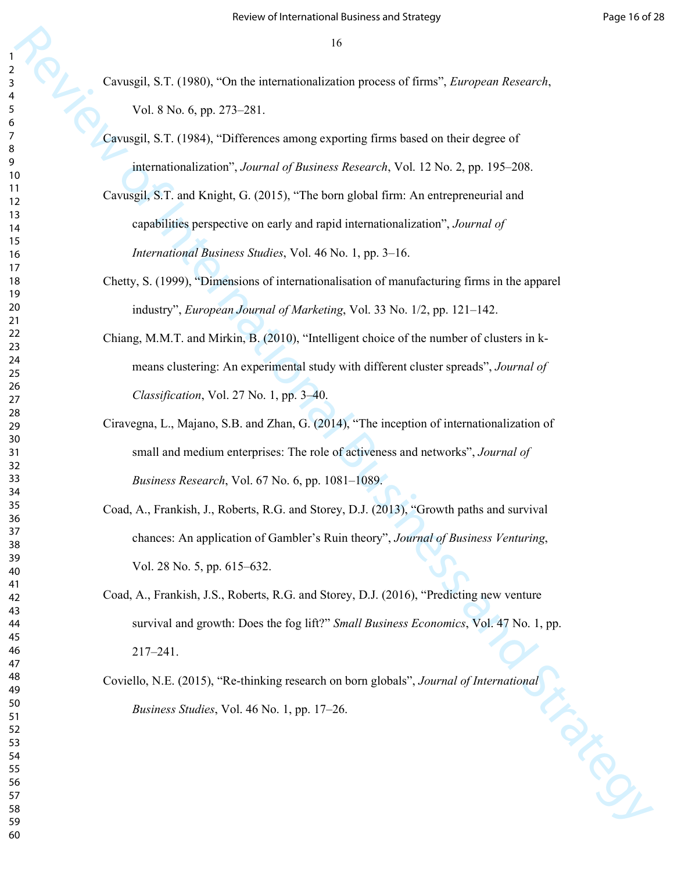- Cavusgil, S.T. (1980), "On the internationalization process of firms", *European Research*, Vol. 8 No. 6, pp. 273–281.
- Cavusgil, S.T. (1984), "Differences among exporting firms based on their degree of internationalization", *Journal of Business Research*, Vol. 12 No. 2, pp. 195–208.
- Cavusgil, S.T. and Knight, G. (2015), "The born global firm: An entrepreneurial and capabilities perspective on early and rapid internationalization", *Journal of International Business Studies*, Vol. 46 No. 1, pp. 3–16.
- Chetty, S. (1999), "Dimensions of internationalisation of manufacturing firms in the apparel industry", *European Journal of Marketing*, Vol. 33 No. 1/2, pp. 121–142.
- Chiang, M.M.T. and Mirkin, B. (2010), "Intelligent choice of the number of clusters in kmeans clustering: An experimental study with different cluster spreads", *Journal of Classification*, Vol. 27 No. 1, pp. 3–40.
- Ciravegna, L., Majano, S.B. and Zhan, G. (2014), "The inception of internationalization of small and medium enterprises: The role of activeness and networks", *Journal of Business Research*, Vol. 67 No. 6, pp. 1081–1089.
- Coad, A., Frankish, J., Roberts, R.G. and Storey, D.J. (2013), "Growth paths and survival chances: An application of Gambler's Ruin theory", *Journal of Business Venturing*, Vol. 28 No. 5, pp. 615–632.
- 19<br>
Caveagel, S.F. (1980). "On the micromaterialization process at Euran". *Enorgene Research*.<br>
Vol. 8 No. 6 (rp. 27). 281.<br>
Caveagel, S.F. (1981-120facences nuovae expecting firms based on their depress of<br>
caveagel, S. Coad, A., Frankish, J.S., Roberts, R.G. and Storey, D.J. (2016), "Predicting new venture survival and growth: Does the fog lift?" *Small Business Economics*, Vol. 47 No. 1, pp. 217–241.
	- Coviello, N.E. (2015), "Re-thinking research on born globals", *Journal of International*<br>*Business Studies*, Vol. 46 No. 1, pp. 17–26. *Business Studies*, Vol. 46 No. 1, pp. 17–26.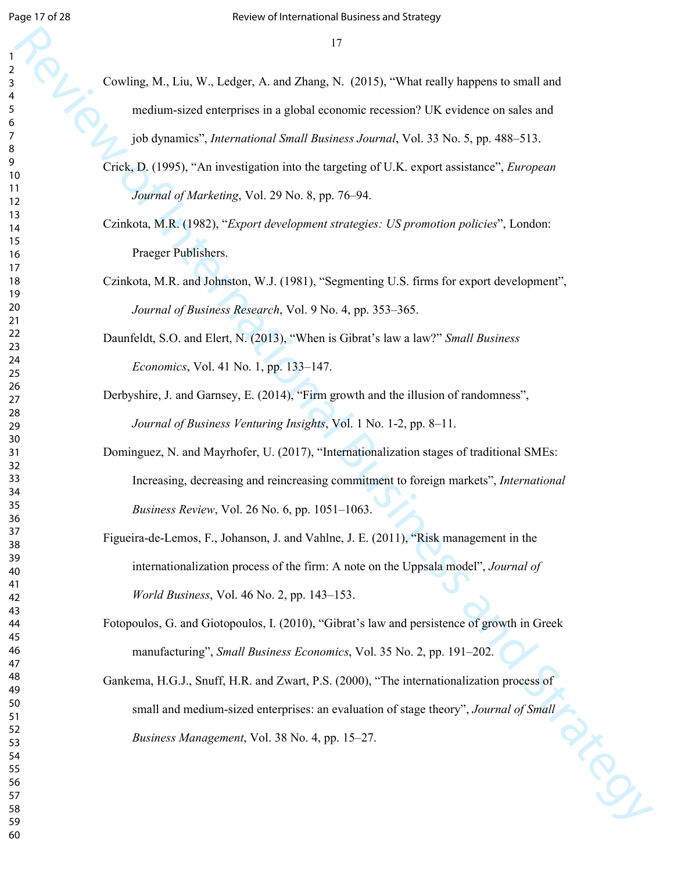- Cowling, M., Liu, W., Ledger, A. and Zhang, N. (2015), "What really happens to small and medium-sized enterprises in a global economic recession? UK evidence on sales and job dynamics", *International Small Business Journal*, Vol. 33 No. 5, pp. 488–513.
- Crick, D. (1995), "An investigation into the targeting of U.K. export assistance", *European Journal of Marketing*, Vol. 29 No. 8, pp. 76–94.
- Czinkota, M.R. (1982), "*Export development strategies: US promotion policies*", London: Praeger Publishers.
- Czinkota, M.R. and Johnston, W.J. (1981), "Segmenting U.S. firms for export development", *Journal of Business Research*, Vol. 9 No. 4, pp. 353–365.
- Daunfeldt, S.O. and Elert, N. (2013), "When is Gibrat's law a law?" *Small Business Economics*, Vol. 41 No. 1, pp. 133–147.
- Derbyshire, J. and Garnsey, E. (2014), "Firm growth and the illusion of randomness", *Journal of Business Venturing Insights*, Vol. 1 No. 1-2, pp. 8–11.
- 17<br>
Concling M., Law, W., Lealger, A. and Zhang, N. (2015). "What really happens to small and<br>
revolution stock the minimister is a global state considered business (see and state and<br>
review of International Business S Dominguez, N. and Mayrhofer, U. (2017), "Internationalization stages of traditional SMEs: Increasing, decreasing and reincreasing commitment to foreign markets", *International Business Review*, Vol. 26 No. 6, pp. 1051–1063.
	- Figueira-de-Lemos, F., Johanson, J. and Vahlne, J. E. (2011), "Risk management in the internationalization process of the firm: A note on the Uppsala model", *Journal of World Business*, Vol. 46 No. 2, pp. 143–153.
	- Fotopoulos, G. and Giotopoulos, I. (2010), "Gibrat's law and persistence of growth in Greek manufacturing", *Small Business Economics*, Vol. 35 No. 2, pp. 191–202.
	- Gankema, H.G.J., Snuff, H.R. and Zwart, P.S. (2000), "The internationalization process of small and medium-sized enterprises: an evaluation of stage theory", *Journal of Small Business Management*, Vol. 38 No. 4, pp. 15–27. *Business Management*, Vol. 38 No. 4, pp. 15–27.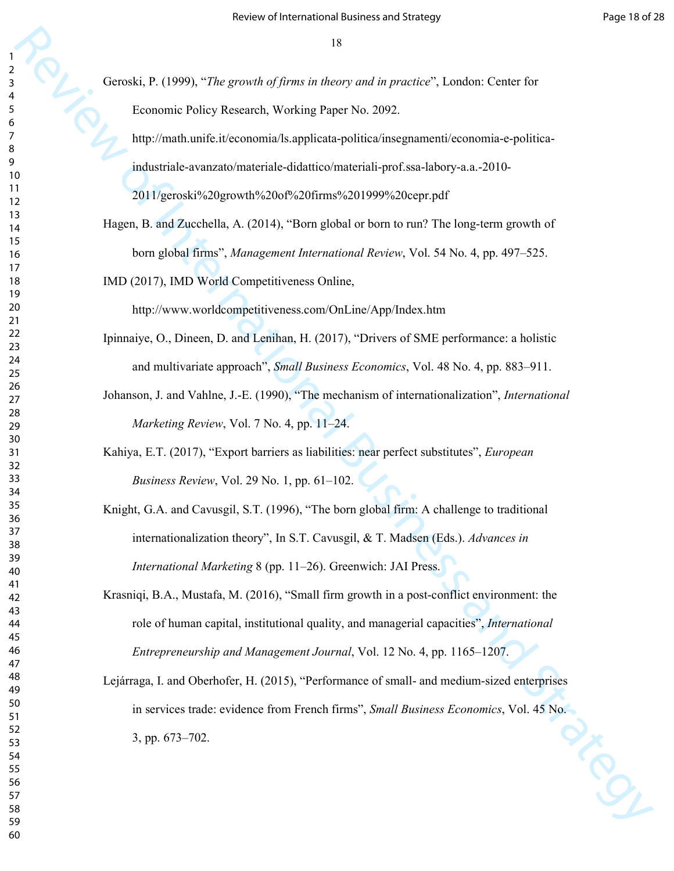Geroski, P. (1999), "*The growth of firms in theory and in practice*", London: Center for Economic Policy Research, Working Paper No. 2092.

http://math.unife.it/economia/ls.applicata-politica/insegnamenti/economia-e-politicaindustriale-avanzato/materiale-didattico/materiali-prof.ssa-labory-a.a.-2010-

2011/geroski%20growth%20of%20firms%201999%20cepr.pdf

Hagen, B. and Zucchella, A. (2014), "Born global or born to run? The long-term growth of born global firms", *Management International Review*, Vol. 54 No. 4, pp. 497–525.

IMD (2017), IMD World Competitiveness Online,

http://www.worldcompetitiveness.com/OnLine/App/Index.htm

- Ipinnaiye, O., Dineen, D. and Lenihan, H. (2017), "Drivers of SME performance: a holistic and multivariate approach", *Small Business Economics*, Vol. 48 No. 4, pp. 883–911.
- Johanson, J. and Vahlne, J.-E. (1990), "The mechanism of internationalization", *International Marketing Review*, Vol. 7 No. 4, pp. 11–24.
- Kahiya, E.T. (2017), "Export barriers as liabilities: near perfect substitutes", *European Business Review*, Vol. 29 No. 1, pp. 61–102.
- Knight, G.A. and Cavusgil, S.T. (1996), "The born global firm: A challenge to traditional internationalization theory", In S.T. Cavusgil, & T. Madsen (Eds.). *Advances in International Marketing* 8 (pp. 11–26). Greenwich: JAI Press.
- Krasniqi, B.A., Mustafa, M. (2016), "Small firm growth in a post-conflict environment: the role of human capital, institutional quality, and managerial capacities", *International Entrepreneurship and Management Journal*, Vol. 12 No. 4, pp. 1165–1207.
- 18<br>
Georoda. P. (1999). "The grow-th of filters and in procedure", London. Center is<br>
Transmitter Minis Research Working Paper Vo. 2002.<br>
Implementic Auditorymiantal Business and Boro and Strategy and Strategy and Strateg Lejárraga, I. and Oberhofer, H. (2015), "Performance of small- and medium-sized enterprises in services trade: evidence from French firms", *Small Business Economics*, Vol. 45 No.<br>3, pp. 673–702. 3, pp. 673–702.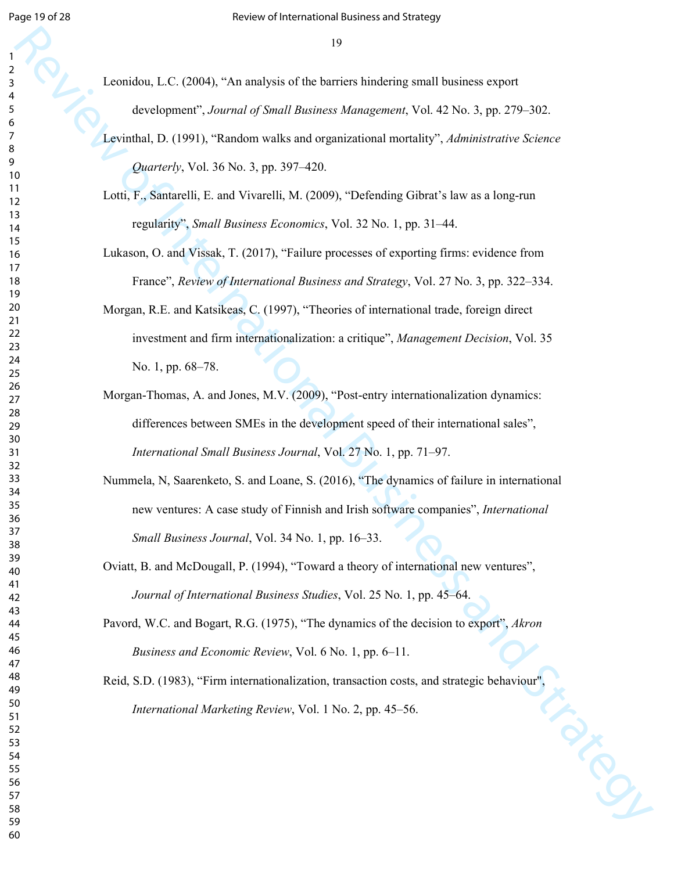- Leonidou, L.C. (2004), "An analysis of the barriers hindering small business export development", *Journal of Small Business Management*, Vol. 42 No. 3, pp. 279–302.
- Levinthal, D. (1991), "Random walks and organizational mortality", *Administrative Science Quarterly*, Vol. 36 No. 3, pp. 397–420.
- Lotti, F., Santarelli, E. and Vivarelli, M. (2009), "Defending Gibrat's law as a long-run regularity", *Small Business Economics*, Vol. 32 No. 1, pp. 31–44.
- Lukason, O. and Vissak, T. (2017), "Failure processes of exporting firms: evidence from France", *Review of International Business and Strategy*, Vol. 27 No. 3, pp. 322–334.
- 19<br>
Leonalou, L.C. (2003), "Ara analysis of the barriers handleing small beamses soport<br>
developments, Journal of Novard Review of Mangement, Vol. 42 No. 1, pp. 279–302<br>
Leonald, D. (1991), "Leonalou was later of Mangemen Morgan, R.E. and Katsikeas, C. (1997), "Theories of international trade, foreign direct investment and firm internationalization: a critique", *Management Decision*, Vol. 35 No. 1, pp. 68–78.
	- Morgan-Thomas, A. and Jones, M.V. (2009), "Post-entry internationalization dynamics: differences between SMEs in the development speed of their international sales", *International Small Business Journal*, Vol. 27 No. 1, pp. 71–97.
	- Nummela, N, Saarenketo, S. and Loane, S. (2016), "The dynamics of failure in international new ventures: A case study of Finnish and Irish software companies", *International Small Business Journal*, Vol. 34 No. 1, pp. 16–33.
	- Oviatt, B. and McDougall, P. (1994), "Toward a theory of international new ventures", *Journal of International Business Studies*, Vol. 25 No. 1, pp. 45–64.
	- Pavord, W.C. and Bogart, R.G. (1975), "The dynamics of the decision to export", *Akron Business and Economic Review*, Vol. 6 No. 1, pp. 6–11.
	- Reid, S.D. (1983), "Firm internationalization, transaction costs, and strategic behaviour", *International Marketing Review*, Vol. 1 No. 2, pp. 45–56.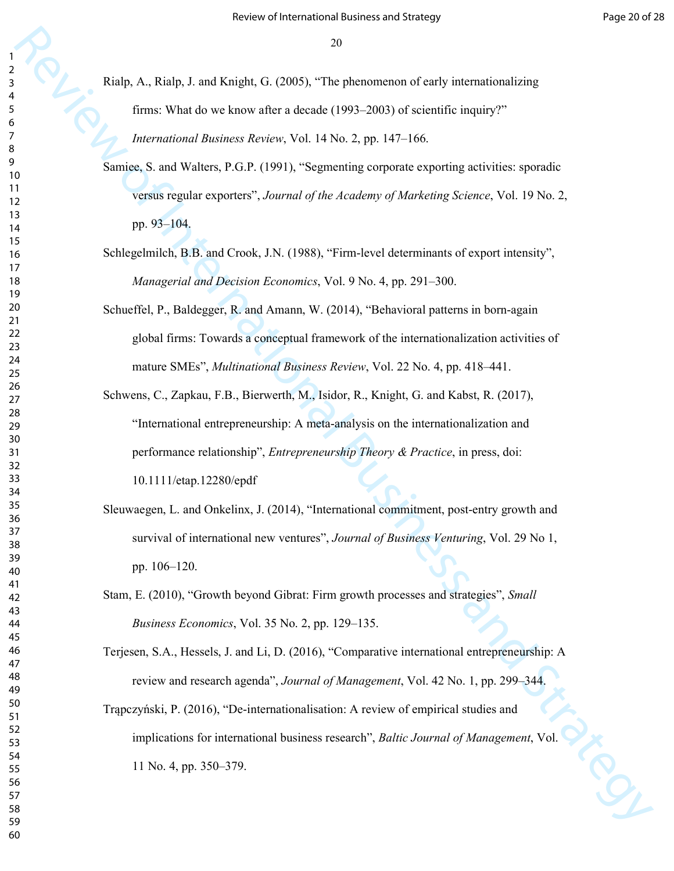Rialp, A., Rialp, J. and Knight, G. (2005), "The phenomenon of early internationalizing firms: What do we know after a decade (1993–2003) of scientific inquiry?"

*International Business Review*, Vol. 14 No. 2, pp. 147–166.

- Samiee, S. and Walters, P.G.P. (1991), "Segmenting corporate exporting activities: sporadic versus regular exporters", *Journal of the Academy of Marketing Science*, Vol. 19 No. 2, pp. 93–104.
- Schlegelmilch, B.B. and Crook, J.N. (1988), "Firm-level determinants of export intensity", *Managerial and Decision Economics*, Vol. 9 No. 4, pp. 291–300.
- Schueffel, P., Baldegger, R. and Amann, W. (2014), "Behavioral patterns in born-again global firms: Towards a conceptual framework of the internationalization activities of mature SMEs", *Multinational Business Review*, Vol. 22 No. 4, pp. 418–441.
- 23<br>
Review Words one broads and reduced (1970). "The phenomenon of sealy international<br>
from Words one broads and Strategy 1971 of Strategy Controlled Business Archive, Strategy 21, *H*-160 of Strategy Controlled Business Schwens, C., Zapkau, F.B., Bierwerth, M., Isidor, R., Knight, G. and Kabst, R. (2017), "International entrepreneurship: A meta-analysis on the internationalization and performance relationship", *Entrepreneurship Theory & Practice*, in press, doi: 10.1111/etap.12280/epdf
	- Sleuwaegen, L. and Onkelinx, J. (2014), "International commitment, post-entry growth and survival of international new ventures", *Journal of Business Venturing*, Vol. 29 No 1, pp. 106–120.
	- Stam, E. (2010), "Growth beyond Gibrat: Firm growth processes and strategies", *Small Business Economics*, Vol. 35 No. 2, pp. 129–135.
	- Terjesen, S.A., Hessels, J. and Li, D. (2016), "Comparative international entrepreneurship: A review and research agenda", *Journal of Management*, Vol. 42 No. 1, pp. 299–344.
	- Trąpczyński, P. (2016), "De-internationalisation: A review of empirical studies and implications for international business research", *Baltic Journal of Management*, Vol. 11 No. 4, pp. 350–379.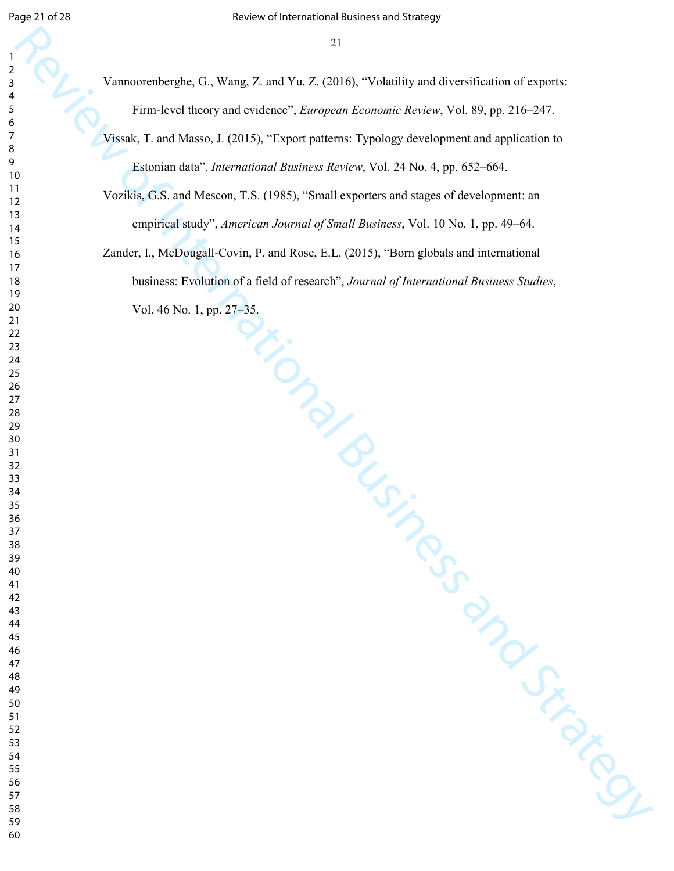Vannoorenberghe, G., Wang, Z. and Yu, Z. (2016), "Volatility and diversification of exports: Firm-level theory and evidence", *European Economic Review*, Vol. 89, pp. 216–247.

Vissak, T. and Masso, J. (2015), "Export patterns: Typology development and application to Estonian data", *International Business Review*, Vol. 24 No. 4, pp. 652–664.

Vozikis, G.S. and Mescon, T.S. (1985), "Small exporters and stages of development: an empirical study", *American Journal of Small Business*, Vol. 10 No. 1, pp. 49–64.

2<br>
Piaramonathongha, G., Wang, Z., and Yu, Z. (2016), "Volatdaly and deverational m a signest.<br>
First level that we year to view of International Business Archive Vola. 8, pp. 2015<br>
Also Little and Mannes J., Patermationa Zander, I., McDougall-Covin, P. and Rose, E.L. (2015), "Born globals and international business: Evolution of a field of research", *Journal of International Business Studies*, Vol. 46 No. 1, pp. 27–35.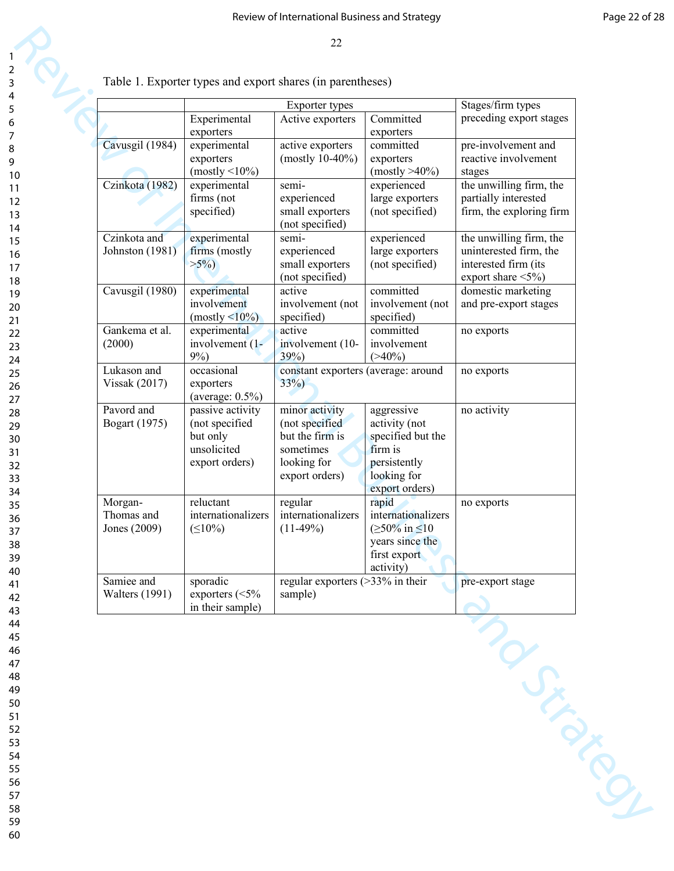|                                       |                                                                                 | <b>Exporter types</b>                                                                             |                                                                                                                  | Stages/firm types                                                                                      |
|---------------------------------------|---------------------------------------------------------------------------------|---------------------------------------------------------------------------------------------------|------------------------------------------------------------------------------------------------------------------|--------------------------------------------------------------------------------------------------------|
|                                       | Experimental<br>exporters                                                       | Active exporters                                                                                  | Committed<br>exporters                                                                                           | preceding export stages                                                                                |
| Cavusgil (1984)                       | experimental<br>exporters                                                       | active exporters<br>(mostly $10-40%$ )                                                            | committed<br>exporters                                                                                           | pre-involvement and<br>reactive involvement                                                            |
| Czinkota (1982)                       | $(mostly < 10\%)$<br>experimental                                               | semi-                                                                                             | $(mostly > 40\%)$<br>experienced                                                                                 | stages<br>the unwilling firm, the                                                                      |
|                                       | firms (not<br>specified)                                                        | experienced<br>small exporters<br>(not specified)                                                 | large exporters<br>(not specified)                                                                               | partially interested<br>firm, the exploring firm                                                       |
| Czinkota and<br>Johnston (1981)       | experimental<br>firms (mostly<br>$>5\%$ )                                       | semi-<br>experienced<br>small exporters<br>(not specified)                                        | experienced<br>large exporters<br>(not specified)                                                                | the unwilling firm, the<br>uninterested firm, the<br>interested firm (its<br>export share $\leq 5\%$ ) |
| Cavusgil (1980)                       | experimental<br>involvement<br>$(mostly < 10\%)$                                | active<br>involvement (not<br>specified)                                                          | committed<br>involvement (not<br>specified)                                                                      | domestic marketing<br>and pre-export stages                                                            |
| Gankema et al.<br>(2000)              | experimental<br>involvement (1-<br>$9\%)$                                       | active<br>involvement (10-<br>39%)                                                                | committed<br>involvement<br>$(>40\%)$                                                                            | no exports                                                                                             |
| Lukason and<br><b>Vissak</b> (2017)   | occasional<br>exporters<br>(average: $0.5\%$ )                                  | constant exporters (average: around<br>$33\%)$                                                    |                                                                                                                  | no exports                                                                                             |
| Pavord and<br><b>Bogart</b> (1975)    | passive activity<br>(not specified<br>but only<br>unsolicited<br>export orders) | minor activity<br>(not specified<br>but the firm is<br>sometimes<br>looking for<br>export orders) | aggressive<br>activity (not<br>specified but the<br>firm is<br>persistently<br>looking for<br>export orders)     | no activity                                                                                            |
| Morgan-<br>Thomas and<br>Jones (2009) | reluctant<br>internationalizers<br>$( \leq 10\%)$                               | regular<br>internationalizers<br>$(11-49%)$                                                       | rapid<br>internationalizers<br>$( \geq 50\% \text{ in } \leq 10$<br>years since the<br>first export<br>activity) | no exports                                                                                             |
| Samiee and<br><b>Walters</b> (1991)   | sporadic<br>exporters $(<5\%$<br>in their sample)                               | regular exporters $(>\frac{33}{6}$ in their<br>sample)                                            |                                                                                                                  | pre-export stage                                                                                       |
|                                       |                                                                                 |                                                                                                   |                                                                                                                  | Sixty Roy                                                                                              |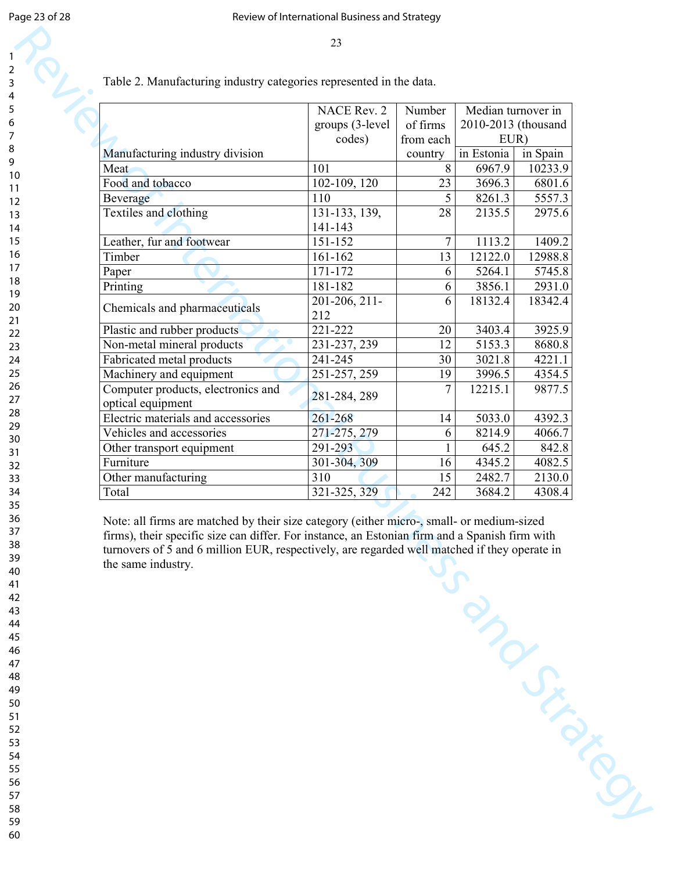Table 2. Manufacturing industry categories represented in the data.

|               | country                                                                                                                      |                                       | in Spain                                                        |
|---------------|------------------------------------------------------------------------------------------------------------------------------|---------------------------------------|-----------------------------------------------------------------|
| 101           | 8                                                                                                                            | 6967.9                                | 10233.9                                                         |
|               |                                                                                                                              | 3696.3                                | 6801.6                                                          |
| 110           | 5                                                                                                                            | 8261.3                                | 5557.3                                                          |
| 131-133, 139, | 28                                                                                                                           | 2135.5                                | 2975.6                                                          |
| 141-143       |                                                                                                                              |                                       |                                                                 |
| 151-152       | $\overline{7}$                                                                                                               | 1113.2                                | 1409.2                                                          |
| 161-162       | 13                                                                                                                           | 12122.0                               | 12988.8                                                         |
| 171-172       | 6                                                                                                                            | 5264.1                                | 5745.8                                                          |
| 181-182       | 6                                                                                                                            | 3856.1                                | 2931.0                                                          |
|               | 6                                                                                                                            | 18132.4                               | 18342.4                                                         |
| 212           |                                                                                                                              |                                       |                                                                 |
| 221-222       | 20                                                                                                                           | 3403.4                                | 3925.9                                                          |
| 231-237, 239  | 12                                                                                                                           | 5153.3                                | 8680.8                                                          |
| 241-245       | 30                                                                                                                           | 3021.8                                | 4221.1                                                          |
| 251-257, 259  | 19                                                                                                                           | 3996.5                                | 4354.5                                                          |
|               | 7                                                                                                                            | 12215.1                               | 9877.5                                                          |
|               |                                                                                                                              |                                       |                                                                 |
| 261-268       | 14                                                                                                                           | 5033.0                                | 4392.3                                                          |
|               | 6                                                                                                                            | 8214.9                                | 4066.7                                                          |
| 291-293       |                                                                                                                              | 645.2                                 | 842.8                                                           |
|               | 16                                                                                                                           | 4345.2                                | 4082.5                                                          |
| 310           | 15                                                                                                                           | 2482.7                                | 2130.0                                                          |
| 321-325, 329  | 242                                                                                                                          | 3684.2                                | 4308.4                                                          |
|               | NACE Rev. 2<br>groups (3-level)<br>codes)<br>102-109, 120<br>$201-206, 211-$<br>281-284, 289<br>271-275, 279<br>301-304, 309 | Number<br>of firms<br>from each<br>23 | Median turnover in<br>2010-2013 (thousand<br>EUR)<br>in Estonia |

Note: all firms are matched by their size category (either micro-, small- or medium-sized firms), their specific size can differ. For instance, an Estonian firm and a Spanish firm with turnovers of 5 and 6 million EUR, respectively, are regarded well matched if they operate in the same industry.

Review of Manuscript<br>Contractions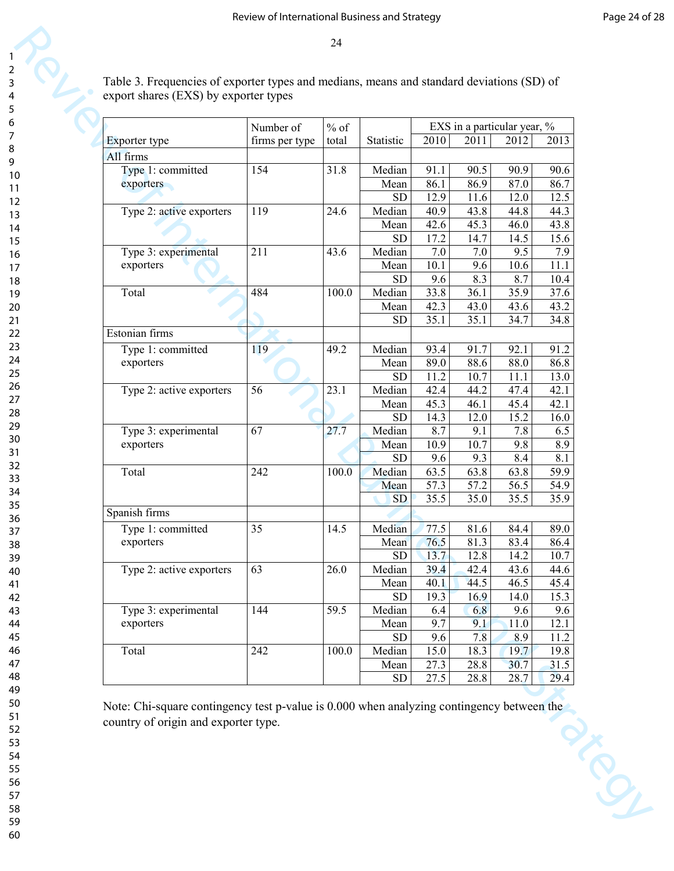| Exporter type            | Number of<br>firms per type | $%$ of<br>total | Statistic  | 2010 | 2011 | EXS in a particular year, %<br>2012 | 2013 |
|--------------------------|-----------------------------|-----------------|------------|------|------|-------------------------------------|------|
| All firms                |                             |                 |            |      |      |                                     |      |
| Type 1: committed        | 154                         | 31.8            | Median     | 91.1 | 90.5 | 90.9                                | 90.6 |
| exporters                |                             |                 | Mean       | 86.1 | 86.9 | 87.0                                | 86.7 |
|                          |                             |                 | <b>SD</b>  | 12.9 | 11.6 | 12.0                                | 12.5 |
| Type 2: active exporters | 119                         | 24.6            | Median     | 40.9 | 43.8 | 44.8                                | 44.3 |
|                          |                             |                 | Mean       | 42.6 | 45.3 | 46.0                                | 43.8 |
|                          |                             |                 | <b>SD</b>  | 17.2 | 14.7 | 14.5                                | 15.6 |
| Type 3: experimental     | 211                         | 43.6            | Median     | 7.0  | 7.0  | 9.5                                 | 7.9  |
| exporters                |                             |                 | Mean       | 10.1 | 9.6  | 10.6                                | 11.1 |
|                          |                             |                 | <b>SD</b>  | 9.6  | 8.3  | 8.7                                 | 10.4 |
| Total                    | 484                         | 100.0           | Median     | 33.8 | 36.1 | 35.9                                | 37.6 |
|                          |                             |                 | Mean       | 42.3 | 43.0 | 43.6                                | 43.2 |
|                          |                             |                 | <b>SD</b>  | 35.1 | 35.1 | 34.7                                | 34.8 |
| Estonian firms           |                             |                 |            |      |      |                                     |      |
| Type 1: committed        | 119                         | 49.2            | Median     | 93.4 | 91.7 | 92.1                                | 91.2 |
| exporters                |                             |                 | Mean       | 89.0 | 88.6 | 88.0                                | 86.8 |
|                          |                             |                 | <b>SD</b>  | 11.2 | 10.7 | 11.1                                | 13.0 |
| Type 2: active exporters | 56                          | 23.1            | Median     | 42.4 | 44.2 | 47.4                                | 42.1 |
|                          |                             |                 | Mean       | 45.3 | 46.1 | 45.4                                | 42.1 |
|                          |                             |                 | <b>SD</b>  | 14.3 | 12.0 | 15.2                                | 16.0 |
| Type 3: experimental     | 67                          | 27.7            | Median     | 8.7  | 9.1  | 7.8                                 | 6.5  |
| exporters                |                             |                 | Mean       | 10.9 | 10.7 | 9.8                                 | 8.9  |
|                          |                             |                 | SD         | 9.6  | 9.3  | 8.4                                 | 8.1  |
| Total                    | 242                         | 100.0           | Median     | 63.5 | 63.8 | 63.8                                | 59.9 |
|                          |                             |                 | Mean       | 57.3 | 57.2 | 56.5                                | 54.9 |
|                          |                             |                 | <b>SD</b>  | 35.5 | 35.0 | 35.5                                | 35.9 |
| Spanish firms            |                             |                 |            |      |      |                                     |      |
| Type 1: committed        | 35                          | 14.5            | Median     | 77.5 | 81.6 | 84.4                                | 89.0 |
| exporters                |                             |                 | Mean       | 76.5 | 81.3 | 83.4                                | 86.4 |
|                          |                             |                 | <b>SD</b>  | 13.7 | 12.8 | 14.2                                | 10.7 |
| Type 2: active exporters | 63                          | 26.0            | Median     | 39.4 | 42.4 | 43.6                                | 44.6 |
|                          |                             |                 | Mean       | 40.1 | 44.5 | 46.5                                | 45.4 |
|                          |                             |                 | <b>SD</b>  | 19.3 | 16.9 | 14.0                                | 15.3 |
| Type 3: experimental     | 144                         | 59.5            | Median     | 6.4  | 6.8  | 9.6                                 | 9.6  |
| exporters                |                             |                 | Mean       | 9.7  | 9.1  | 11.0                                | 12.1 |
|                          |                             |                 | <b>SD</b>  | 9.6  | 7.8  | 8.9                                 | 11.2 |
| Total                    | 242                         | 100.0           | Median     | 15.0 | 18.3 | 19.7                                | 19.8 |
|                          |                             |                 | Mean       | 27.3 | 28.8 | 30.7                                | 31.5 |
|                          |                             |                 | ${\rm SD}$ | 27.5 | 28.8 | 28.7                                | 29.4 |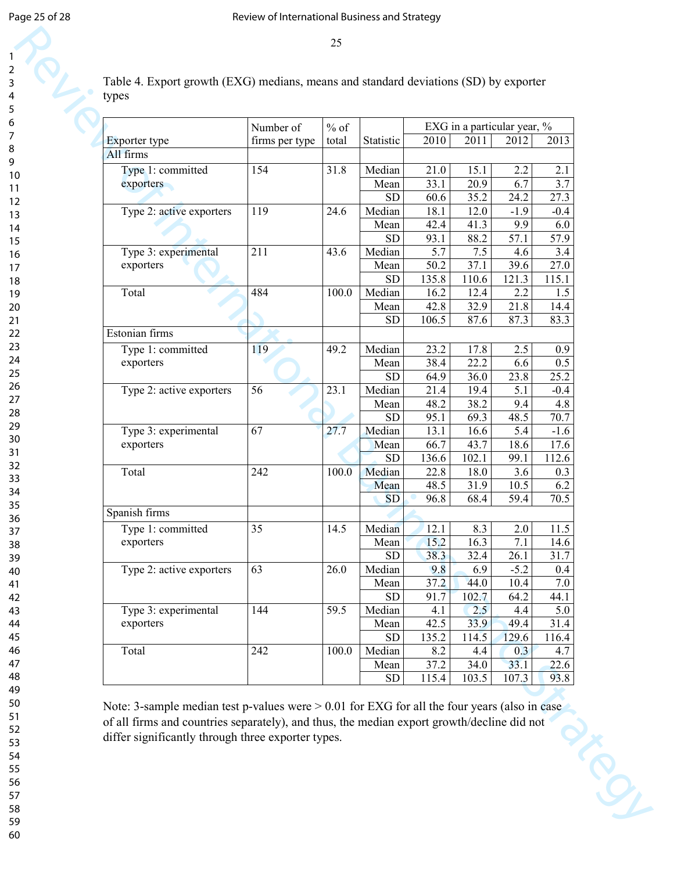| Table 4. Export growth (EXG) medians, means and standard deviations (SD) by exporter |  |
|--------------------------------------------------------------------------------------|--|
| types                                                                                |  |

| Exporter type                     | Number of<br>firms per type | $%$ of<br>total | Statistic           | 2010          | 2011          | EXG in a particular year, %<br>2012 | 2013          |
|-----------------------------------|-----------------------------|-----------------|---------------------|---------------|---------------|-------------------------------------|---------------|
| All firms                         |                             |                 |                     |               |               |                                     |               |
| Type 1: committed                 | 154                         | 31.8            | Median              | 21.0          | 15.1          | 2.2                                 | 2.1           |
|                                   |                             |                 |                     | 33.1          | 20.9          | 6.7                                 | 3.7           |
| exporters                         |                             |                 | Mean<br><b>SD</b>   | 60.6          | 35.2          | 24.2                                | 27.3          |
| Type 2: active exporters          | 119                         | 24.6            | Median              | 18.1          | 12.0          | $-1.9$                              | $-0.4$        |
|                                   |                             |                 |                     | 42.4          | 41.3          | 9.9                                 | 6.0           |
|                                   |                             |                 | Mean<br><b>SD</b>   |               |               | 57.1                                | 57.9          |
|                                   | 211                         | 43.6            | Median              | 93.1<br>5.7   | 88.2          | 4.6                                 |               |
| Type 3: experimental              |                             |                 |                     | 50.2          | 7.5<br>37.1   | 39.6                                | 3.4<br>27.0   |
| exporters                         |                             |                 | Mean<br><b>SD</b>   | 135.8         | 110.6         | 121.3                               | 115.1         |
| Total                             | 484                         | 100.0           | Median              | 16.2          | 12.4          | 2.2                                 | 1.5           |
|                                   |                             |                 | Mean                | 42.8          | 32.9          | 21.8                                | 14.4          |
|                                   |                             |                 | <b>SD</b>           | 106.5         | 87.6          | 87.3                                | 83.3          |
| Estonian firms                    |                             |                 |                     |               |               |                                     |               |
|                                   |                             |                 |                     |               |               |                                     |               |
| Type 1: committed                 | 119                         | 49.2            | Median              | 23.2          | 17.8          | 2.5                                 | 0.9           |
| exporters                         |                             |                 | Mean                | 38.4          | 22.2          | 6.6                                 | 0.5           |
|                                   |                             |                 | <b>SD</b>           | 64.9          | 36.0          | 23.8                                | 25.2          |
| Type 2: active exporters          | 56                          | 23.1            | Median              | 21.4          | 19.4          | 5.1                                 | $-0.4$        |
|                                   |                             |                 | Mean                | 48.2          | 38.2          | 9.4                                 | 4.8           |
|                                   | 67                          |                 | <b>SD</b>           | 95.1<br>13.1  | 69.3          | 48.5                                | 70.7          |
| Type 3: experimental              |                             | 27.7            | Median              |               | 16.6          | 5.4                                 | $-1.6$        |
| exporters                         |                             |                 | Mean                | 66.7          | 43.7          | 18.6                                | 17.6          |
| Total                             |                             |                 | <b>SD</b><br>Median | 136.6         | 102.1         | 99.1                                | 112.6         |
|                                   | 242                         | 100.0           |                     | 22.8          | 18.0          | 3.6                                 | 0.3           |
|                                   |                             |                 | Mean                | 48.5<br>96.8  | 31.9          | 10.5<br>59.4                        | 6.2           |
| Spanish firms                     |                             |                 | <b>SD</b>           |               | 68.4          |                                     | 70.5          |
|                                   |                             |                 |                     |               |               |                                     |               |
| Type 1: committed                 | 35                          | 14.5            | Median              | 12.1          | 8.3           | 2.0                                 | 11.5          |
| exporters                         |                             |                 | Mean                | 15.2          | 16.3          | 7.1                                 | 14.6          |
|                                   |                             |                 | <b>SD</b>           | 38.3          | 32.4          | 26.1                                | 31.7          |
| Type 2: active exporters          | 63                          | 26.0            | Median              | 9.8           | 6.9           | $-5.2$                              | 0.4           |
|                                   |                             |                 | Mean                | 37.2          | 44.0          | 10.4                                | 7.0           |
|                                   |                             |                 | <b>SD</b>           | 91.7          | 102.7         | 64.2                                | 44.1          |
| Type 3: experimental<br>exporters | 144                         | 59.5            | Median              | 4.1           | 2.5           | 4.4                                 | 5.0           |
|                                   |                             |                 | Mean<br><b>SD</b>   | 42.5<br>135.2 | 33.9<br>114.5 | 49.4<br>129.6                       | 31.4<br>116.4 |
| Total                             | 242                         | 100.0           |                     |               |               |                                     |               |
|                                   |                             |                 | Median              | 8.2<br>37.2   | 4.4           | 0.3<br>33.1                         | 4.7<br>22.6   |
|                                   |                             |                 | Mean<br>${\rm SD}$  | 115.4         | 34.0<br>103.5 | 107.3                               | 93.8          |
|                                   |                             |                 |                     |               |               |                                     |               |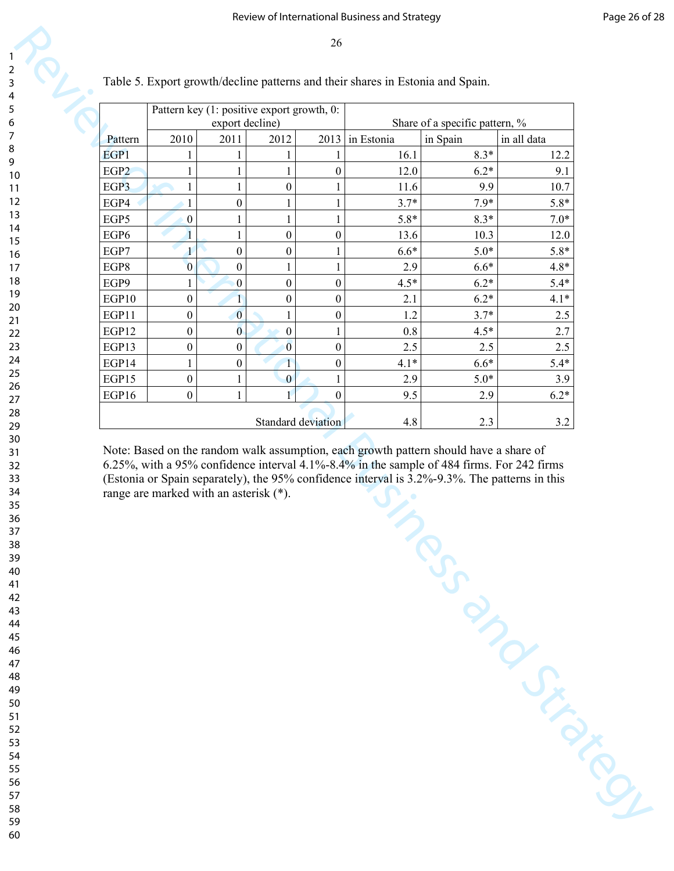| in Estonia<br>in Spain<br>in all data<br>Pattern<br>2011<br>2010<br>2012<br>2013<br>$8.3*$<br>EGP1<br>16.1<br>12.2<br>1<br>1<br>1<br>1<br>$\boldsymbol{0}$<br>$6.2*$<br>EGP <sub>2</sub><br>$\mathbf{1}$<br>12.0<br>9.1<br>1<br>1<br>EGP3<br>$\mathbf{1}$<br>$\boldsymbol{0}$<br>11.6<br>9.9<br>$\mathbf{1}$<br>10.7<br>1<br>$7.9*$<br>EGP4<br>$\boldsymbol{0}$<br>$3.7*$<br>$5.8*$<br>$\mathbf{1}$<br>1<br>1<br>EGP5<br>$5.8*$<br>$8.3*$<br>$7.0*$<br>$\boldsymbol{0}$<br>1<br>1<br>EGP6<br>$\mathbf{1}$<br>$\boldsymbol{0}$<br>$\boldsymbol{0}$<br>13.6<br>10.3<br>12.0<br>EGP7<br>$\boldsymbol{0}$<br>$6.6*$<br>$5.0*$<br>$5.8*$<br>$\boldsymbol{0}$<br>1<br>1<br>EGP8<br>$\overline{0}$<br>2.9<br>$6.6*$<br>$4.8*$<br>$\boldsymbol{0}$<br>$\mathbf{1}$<br>1<br>$\boldsymbol{0}$<br>$\boldsymbol{0}$<br>$4.5*$<br>$6.2*$<br>$5.4*$<br>EGP9<br>$\boldsymbol{0}$<br>1<br>$6.2*$<br>EGP10<br>$\boldsymbol{0}$<br>$\mathbf{1}$<br>$\boldsymbol{0}$<br>$\boldsymbol{0}$<br>2.1<br>$4.1*$<br>$\overline{0}$<br>$\boldsymbol{0}$<br>EGP11<br>$\boldsymbol{0}$<br>$3.7*$<br>1.2<br>$2.5\,$<br>1<br>EGP12<br>$\bf{0}$<br>$\boldsymbol{0}$<br>0.8<br>$\boldsymbol{0}$<br>$4.5*$<br>2.7<br>1<br>EGP13<br>$\overline{0}$<br>$\boldsymbol{0}$<br>2.5<br>2.5<br>$\boldsymbol{0}$<br>$\boldsymbol{0}$<br>2.5<br>$6.6*$<br>EGP14<br>$\boldsymbol{0}$<br>$4.1*$<br>$\boldsymbol{0}$<br>$5.4*$<br>1<br>1<br>EGP15<br>$\boldsymbol{0}$<br>2.9<br>$5.0*$<br>$\mathbf{1}$<br>$\bf{0}$<br>$\mathbf{1}$<br>3.9<br>$\mathbf 1$<br>$6.2*$<br>EGP16<br>$\boldsymbol{0}$<br>$\boldsymbol{0}$<br>9.5<br>2.9<br>1<br>4.8<br>Standard deviation<br>2.3<br>3.2<br>Note: Based on the random walk assumption, each growth pattern should have a share of<br>6.25%, with a 95% confidence interval 4.1%-8.4% in the sample of 484 firms. For 242 firms<br>(Estonia or Spain separately), the 95% confidence interval is 3.2%-9.3%. The patterns in this<br>range are marked with an asterisk (*).<br>Testimony of Capitalists |  | export decline) | Pattern key (1: positive export growth, 0: |  | Share of a specific pattern, % |  |
|-------------------------------------------------------------------------------------------------------------------------------------------------------------------------------------------------------------------------------------------------------------------------------------------------------------------------------------------------------------------------------------------------------------------------------------------------------------------------------------------------------------------------------------------------------------------------------------------------------------------------------------------------------------------------------------------------------------------------------------------------------------------------------------------------------------------------------------------------------------------------------------------------------------------------------------------------------------------------------------------------------------------------------------------------------------------------------------------------------------------------------------------------------------------------------------------------------------------------------------------------------------------------------------------------------------------------------------------------------------------------------------------------------------------------------------------------------------------------------------------------------------------------------------------------------------------------------------------------------------------------------------------------------------------------------------------------------------------------------------------------------------------------------------------------------------------------------------------------------------------------------------------------------------------------------------------------------------------------------------------------|--|-----------------|--------------------------------------------|--|--------------------------------|--|
|                                                                                                                                                                                                                                                                                                                                                                                                                                                                                                                                                                                                                                                                                                                                                                                                                                                                                                                                                                                                                                                                                                                                                                                                                                                                                                                                                                                                                                                                                                                                                                                                                                                                                                                                                                                                                                                                                                                                                                                                 |  |                 |                                            |  |                                |  |
|                                                                                                                                                                                                                                                                                                                                                                                                                                                                                                                                                                                                                                                                                                                                                                                                                                                                                                                                                                                                                                                                                                                                                                                                                                                                                                                                                                                                                                                                                                                                                                                                                                                                                                                                                                                                                                                                                                                                                                                                 |  |                 |                                            |  |                                |  |
|                                                                                                                                                                                                                                                                                                                                                                                                                                                                                                                                                                                                                                                                                                                                                                                                                                                                                                                                                                                                                                                                                                                                                                                                                                                                                                                                                                                                                                                                                                                                                                                                                                                                                                                                                                                                                                                                                                                                                                                                 |  |                 |                                            |  |                                |  |
|                                                                                                                                                                                                                                                                                                                                                                                                                                                                                                                                                                                                                                                                                                                                                                                                                                                                                                                                                                                                                                                                                                                                                                                                                                                                                                                                                                                                                                                                                                                                                                                                                                                                                                                                                                                                                                                                                                                                                                                                 |  |                 |                                            |  |                                |  |
|                                                                                                                                                                                                                                                                                                                                                                                                                                                                                                                                                                                                                                                                                                                                                                                                                                                                                                                                                                                                                                                                                                                                                                                                                                                                                                                                                                                                                                                                                                                                                                                                                                                                                                                                                                                                                                                                                                                                                                                                 |  |                 |                                            |  |                                |  |
|                                                                                                                                                                                                                                                                                                                                                                                                                                                                                                                                                                                                                                                                                                                                                                                                                                                                                                                                                                                                                                                                                                                                                                                                                                                                                                                                                                                                                                                                                                                                                                                                                                                                                                                                                                                                                                                                                                                                                                                                 |  |                 |                                            |  |                                |  |
|                                                                                                                                                                                                                                                                                                                                                                                                                                                                                                                                                                                                                                                                                                                                                                                                                                                                                                                                                                                                                                                                                                                                                                                                                                                                                                                                                                                                                                                                                                                                                                                                                                                                                                                                                                                                                                                                                                                                                                                                 |  |                 |                                            |  |                                |  |
|                                                                                                                                                                                                                                                                                                                                                                                                                                                                                                                                                                                                                                                                                                                                                                                                                                                                                                                                                                                                                                                                                                                                                                                                                                                                                                                                                                                                                                                                                                                                                                                                                                                                                                                                                                                                                                                                                                                                                                                                 |  |                 |                                            |  |                                |  |
|                                                                                                                                                                                                                                                                                                                                                                                                                                                                                                                                                                                                                                                                                                                                                                                                                                                                                                                                                                                                                                                                                                                                                                                                                                                                                                                                                                                                                                                                                                                                                                                                                                                                                                                                                                                                                                                                                                                                                                                                 |  |                 |                                            |  |                                |  |
|                                                                                                                                                                                                                                                                                                                                                                                                                                                                                                                                                                                                                                                                                                                                                                                                                                                                                                                                                                                                                                                                                                                                                                                                                                                                                                                                                                                                                                                                                                                                                                                                                                                                                                                                                                                                                                                                                                                                                                                                 |  |                 |                                            |  |                                |  |
|                                                                                                                                                                                                                                                                                                                                                                                                                                                                                                                                                                                                                                                                                                                                                                                                                                                                                                                                                                                                                                                                                                                                                                                                                                                                                                                                                                                                                                                                                                                                                                                                                                                                                                                                                                                                                                                                                                                                                                                                 |  |                 |                                            |  |                                |  |
|                                                                                                                                                                                                                                                                                                                                                                                                                                                                                                                                                                                                                                                                                                                                                                                                                                                                                                                                                                                                                                                                                                                                                                                                                                                                                                                                                                                                                                                                                                                                                                                                                                                                                                                                                                                                                                                                                                                                                                                                 |  |                 |                                            |  |                                |  |
|                                                                                                                                                                                                                                                                                                                                                                                                                                                                                                                                                                                                                                                                                                                                                                                                                                                                                                                                                                                                                                                                                                                                                                                                                                                                                                                                                                                                                                                                                                                                                                                                                                                                                                                                                                                                                                                                                                                                                                                                 |  |                 |                                            |  |                                |  |
|                                                                                                                                                                                                                                                                                                                                                                                                                                                                                                                                                                                                                                                                                                                                                                                                                                                                                                                                                                                                                                                                                                                                                                                                                                                                                                                                                                                                                                                                                                                                                                                                                                                                                                                                                                                                                                                                                                                                                                                                 |  |                 |                                            |  |                                |  |
|                                                                                                                                                                                                                                                                                                                                                                                                                                                                                                                                                                                                                                                                                                                                                                                                                                                                                                                                                                                                                                                                                                                                                                                                                                                                                                                                                                                                                                                                                                                                                                                                                                                                                                                                                                                                                                                                                                                                                                                                 |  |                 |                                            |  |                                |  |
|                                                                                                                                                                                                                                                                                                                                                                                                                                                                                                                                                                                                                                                                                                                                                                                                                                                                                                                                                                                                                                                                                                                                                                                                                                                                                                                                                                                                                                                                                                                                                                                                                                                                                                                                                                                                                                                                                                                                                                                                 |  |                 |                                            |  |                                |  |
|                                                                                                                                                                                                                                                                                                                                                                                                                                                                                                                                                                                                                                                                                                                                                                                                                                                                                                                                                                                                                                                                                                                                                                                                                                                                                                                                                                                                                                                                                                                                                                                                                                                                                                                                                                                                                                                                                                                                                                                                 |  |                 |                                            |  |                                |  |
|                                                                                                                                                                                                                                                                                                                                                                                                                                                                                                                                                                                                                                                                                                                                                                                                                                                                                                                                                                                                                                                                                                                                                                                                                                                                                                                                                                                                                                                                                                                                                                                                                                                                                                                                                                                                                                                                                                                                                                                                 |  |                 |                                            |  |                                |  |
|                                                                                                                                                                                                                                                                                                                                                                                                                                                                                                                                                                                                                                                                                                                                                                                                                                                                                                                                                                                                                                                                                                                                                                                                                                                                                                                                                                                                                                                                                                                                                                                                                                                                                                                                                                                                                                                                                                                                                                                                 |  |                 |                                            |  |                                |  |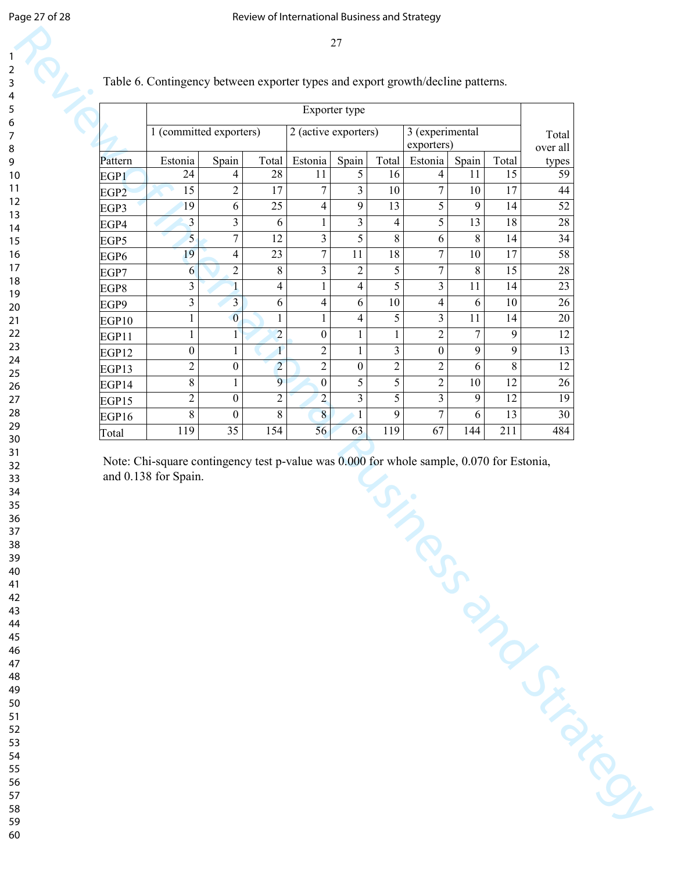| 1 (committed exporters)<br>2 (active exporters)<br>3 (experimental<br>Total<br>exporters)<br>over all<br>Estonia<br>Spain<br>Estonia<br>Spain<br>Total<br>Spain<br>Total<br>Estonia<br>Total<br>Pattern<br>28<br>5<br>15<br>24<br>11<br>16<br>11<br>4<br>4<br>EGP1<br>$\overline{3}$<br>$\mathbf{2}$<br>17<br>$\tau$<br>$\boldsymbol{7}$<br>17<br>15<br>10<br>10<br>EGP <sub>2</sub><br>6<br>9<br>5<br>25<br>13<br>9<br>14<br>19<br>4<br>EGP3<br>5<br>13<br>3<br>3<br>$\overline{18}$<br>3<br>6<br>$\overline{4}$<br>$\mathbf{1}$<br>EGP4<br>$\overline{5}$<br>$\overline{7}$<br>3<br>5<br>12<br>8<br>8<br>6<br>14<br>EGP5<br>19<br>$\overline{7}$<br>$18\,$<br>$\boldsymbol{7}$<br>17<br>$\overline{4}$<br>23<br>11<br>$10\,$<br>EGP6<br>$\overline{c}$<br>8<br>3<br>$\overline{7}$<br>8<br>$\overline{c}$<br>5<br>15<br>6<br>EGP7<br>5<br>3<br>$\mathbf{1}$<br>$\overline{4}$<br>4<br>11<br>14<br>3<br>1<br>EGP8<br>$\mathfrak{Z}$<br>$\overline{3}$<br>6<br>$\overline{4}$<br>$\overline{4}$<br>6<br>6<br>10<br>10<br>EGP9<br>$\overline{0}$<br>$\overline{4}$<br>5<br>3<br>11<br>$\mathbf{1}$<br>1<br>14<br>1<br>EGP10<br>$\overline{c}$<br>$\overline{2}$<br>$\overline{7}$<br>$\boldsymbol{0}$<br>$\mathbf{1}$<br>9<br>$\mathbf{1}$<br>$\mathbf{1}$<br>$\mathbf{1}$<br>EGP11<br>$\overline{c}$<br>$\mathbf{1}$<br>$\mathfrak{Z}$<br>9<br>9<br>$\boldsymbol{0}$<br>$\boldsymbol{0}$<br>$\mathbf{1}$<br>1<br>EGP12<br>$\overline{c}$<br>$\boldsymbol{0}$<br>$\overline{2}$<br>$\overline{2}$<br>$\mathbf{2}$<br>6<br>$\,8\,$<br>$\overline{c}$<br>$\boldsymbol{0}$<br>EGP13<br>9<br>5<br>5<br>12<br>$8\,$<br>$\boldsymbol{0}$<br>$\mathbf{2}$<br>$10\,$<br>$\mathbf{1}$<br>EGP14<br>$\overline{2}$<br>3<br>5<br>3<br>$\overline{2}$<br>$\overline{c}$<br>9<br>12<br>$\boldsymbol{0}$<br>EGP15<br>$\overline{8}$<br>$\overline{8}$<br>$\boldsymbol{7}$<br>$8\,$<br>$\mathbf{1}$<br>9<br>6<br>13<br>$\boldsymbol{0}$<br>EGP16<br>56<br>$\overline{35}$<br>154<br>$\overline{63}$<br>119<br>$\overline{67}$<br>119<br>144<br>211<br>Total<br>Note: Chi-square contingency test p-value was 0.000 for whole sample, 0.070 for Estonia,<br>and 0.138 for Spain. |  |  | Exporter type |  |  |       |
|----------------------------------------------------------------------------------------------------------------------------------------------------------------------------------------------------------------------------------------------------------------------------------------------------------------------------------------------------------------------------------------------------------------------------------------------------------------------------------------------------------------------------------------------------------------------------------------------------------------------------------------------------------------------------------------------------------------------------------------------------------------------------------------------------------------------------------------------------------------------------------------------------------------------------------------------------------------------------------------------------------------------------------------------------------------------------------------------------------------------------------------------------------------------------------------------------------------------------------------------------------------------------------------------------------------------------------------------------------------------------------------------------------------------------------------------------------------------------------------------------------------------------------------------------------------------------------------------------------------------------------------------------------------------------------------------------------------------------------------------------------------------------------------------------------------------------------------------------------------------------------------------------------------------------------------------------------------------------------------------------------------------------------------------------------------------------------------------------------------------------------------------------------------|--|--|---------------|--|--|-------|
|                                                                                                                                                                                                                                                                                                                                                                                                                                                                                                                                                                                                                                                                                                                                                                                                                                                                                                                                                                                                                                                                                                                                                                                                                                                                                                                                                                                                                                                                                                                                                                                                                                                                                                                                                                                                                                                                                                                                                                                                                                                                                                                                                                |  |  |               |  |  |       |
|                                                                                                                                                                                                                                                                                                                                                                                                                                                                                                                                                                                                                                                                                                                                                                                                                                                                                                                                                                                                                                                                                                                                                                                                                                                                                                                                                                                                                                                                                                                                                                                                                                                                                                                                                                                                                                                                                                                                                                                                                                                                                                                                                                |  |  |               |  |  | types |
| 44<br>52<br>$\overline{28}$                                                                                                                                                                                                                                                                                                                                                                                                                                                                                                                                                                                                                                                                                                                                                                                                                                                                                                                                                                                                                                                                                                                                                                                                                                                                                                                                                                                                                                                                                                                                                                                                                                                                                                                                                                                                                                                                                                                                                                                                                                                                                                                                    |  |  |               |  |  | 59    |
|                                                                                                                                                                                                                                                                                                                                                                                                                                                                                                                                                                                                                                                                                                                                                                                                                                                                                                                                                                                                                                                                                                                                                                                                                                                                                                                                                                                                                                                                                                                                                                                                                                                                                                                                                                                                                                                                                                                                                                                                                                                                                                                                                                |  |  |               |  |  |       |
| $\overline{34}$                                                                                                                                                                                                                                                                                                                                                                                                                                                                                                                                                                                                                                                                                                                                                                                                                                                                                                                                                                                                                                                                                                                                                                                                                                                                                                                                                                                                                                                                                                                                                                                                                                                                                                                                                                                                                                                                                                                                                                                                                                                                                                                                                |  |  |               |  |  |       |
| 58                                                                                                                                                                                                                                                                                                                                                                                                                                                                                                                                                                                                                                                                                                                                                                                                                                                                                                                                                                                                                                                                                                                                                                                                                                                                                                                                                                                                                                                                                                                                                                                                                                                                                                                                                                                                                                                                                                                                                                                                                                                                                                                                                             |  |  |               |  |  |       |
| 28                                                                                                                                                                                                                                                                                                                                                                                                                                                                                                                                                                                                                                                                                                                                                                                                                                                                                                                                                                                                                                                                                                                                                                                                                                                                                                                                                                                                                                                                                                                                                                                                                                                                                                                                                                                                                                                                                                                                                                                                                                                                                                                                                             |  |  |               |  |  |       |
| 23<br>26<br>20                                                                                                                                                                                                                                                                                                                                                                                                                                                                                                                                                                                                                                                                                                                                                                                                                                                                                                                                                                                                                                                                                                                                                                                                                                                                                                                                                                                                                                                                                                                                                                                                                                                                                                                                                                                                                                                                                                                                                                                                                                                                                                                                                 |  |  |               |  |  |       |
|                                                                                                                                                                                                                                                                                                                                                                                                                                                                                                                                                                                                                                                                                                                                                                                                                                                                                                                                                                                                                                                                                                                                                                                                                                                                                                                                                                                                                                                                                                                                                                                                                                                                                                                                                                                                                                                                                                                                                                                                                                                                                                                                                                |  |  |               |  |  |       |
|                                                                                                                                                                                                                                                                                                                                                                                                                                                                                                                                                                                                                                                                                                                                                                                                                                                                                                                                                                                                                                                                                                                                                                                                                                                                                                                                                                                                                                                                                                                                                                                                                                                                                                                                                                                                                                                                                                                                                                                                                                                                                                                                                                |  |  |               |  |  |       |
| 12<br>12                                                                                                                                                                                                                                                                                                                                                                                                                                                                                                                                                                                                                                                                                                                                                                                                                                                                                                                                                                                                                                                                                                                                                                                                                                                                                                                                                                                                                                                                                                                                                                                                                                                                                                                                                                                                                                                                                                                                                                                                                                                                                                                                                       |  |  |               |  |  |       |
| 13                                                                                                                                                                                                                                                                                                                                                                                                                                                                                                                                                                                                                                                                                                                                                                                                                                                                                                                                                                                                                                                                                                                                                                                                                                                                                                                                                                                                                                                                                                                                                                                                                                                                                                                                                                                                                                                                                                                                                                                                                                                                                                                                                             |  |  |               |  |  |       |
|                                                                                                                                                                                                                                                                                                                                                                                                                                                                                                                                                                                                                                                                                                                                                                                                                                                                                                                                                                                                                                                                                                                                                                                                                                                                                                                                                                                                                                                                                                                                                                                                                                                                                                                                                                                                                                                                                                                                                                                                                                                                                                                                                                |  |  |               |  |  |       |
| 26<br>19<br>30<br>484                                                                                                                                                                                                                                                                                                                                                                                                                                                                                                                                                                                                                                                                                                                                                                                                                                                                                                                                                                                                                                                                                                                                                                                                                                                                                                                                                                                                                                                                                                                                                                                                                                                                                                                                                                                                                                                                                                                                                                                                                                                                                                                                          |  |  |               |  |  |       |
|                                                                                                                                                                                                                                                                                                                                                                                                                                                                                                                                                                                                                                                                                                                                                                                                                                                                                                                                                                                                                                                                                                                                                                                                                                                                                                                                                                                                                                                                                                                                                                                                                                                                                                                                                                                                                                                                                                                                                                                                                                                                                                                                                                |  |  |               |  |  |       |
|                                                                                                                                                                                                                                                                                                                                                                                                                                                                                                                                                                                                                                                                                                                                                                                                                                                                                                                                                                                                                                                                                                                                                                                                                                                                                                                                                                                                                                                                                                                                                                                                                                                                                                                                                                                                                                                                                                                                                                                                                                                                                                                                                                |  |  |               |  |  |       |
|                                                                                                                                                                                                                                                                                                                                                                                                                                                                                                                                                                                                                                                                                                                                                                                                                                                                                                                                                                                                                                                                                                                                                                                                                                                                                                                                                                                                                                                                                                                                                                                                                                                                                                                                                                                                                                                                                                                                                                                                                                                                                                                                                                |  |  |               |  |  |       |
|                                                                                                                                                                                                                                                                                                                                                                                                                                                                                                                                                                                                                                                                                                                                                                                                                                                                                                                                                                                                                                                                                                                                                                                                                                                                                                                                                                                                                                                                                                                                                                                                                                                                                                                                                                                                                                                                                                                                                                                                                                                                                                                                                                |  |  |               |  |  |       |
| IINCSS ON DESCRIPTION                                                                                                                                                                                                                                                                                                                                                                                                                                                                                                                                                                                                                                                                                                                                                                                                                                                                                                                                                                                                                                                                                                                                                                                                                                                                                                                                                                                                                                                                                                                                                                                                                                                                                                                                                                                                                                                                                                                                                                                                                                                                                                                                          |  |  |               |  |  |       |
|                                                                                                                                                                                                                                                                                                                                                                                                                                                                                                                                                                                                                                                                                                                                                                                                                                                                                                                                                                                                                                                                                                                                                                                                                                                                                                                                                                                                                                                                                                                                                                                                                                                                                                                                                                                                                                                                                                                                                                                                                                                                                                                                                                |  |  |               |  |  |       |
|                                                                                                                                                                                                                                                                                                                                                                                                                                                                                                                                                                                                                                                                                                                                                                                                                                                                                                                                                                                                                                                                                                                                                                                                                                                                                                                                                                                                                                                                                                                                                                                                                                                                                                                                                                                                                                                                                                                                                                                                                                                                                                                                                                |  |  |               |  |  |       |